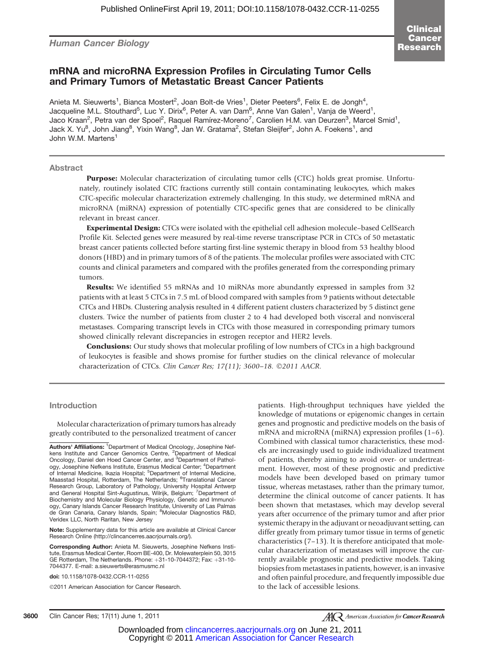Human Cancer Biology

# mRNA and microRNA Expression Profiles in Circulating Tumor Cells and Primary Tumors of Metastatic Breast Cancer Patients

Anieta M. Sieuwerts<sup>1</sup>, Bianca Mostert<sup>2</sup>, Joan Bolt-de Vries<sup>1</sup>, Dieter Peeters<sup>6</sup>, Felix E. de Jongh<sup>4</sup>, Jacqueline M.L. Stouthard<sup>5</sup>, Luc Y. Dirix<sup>6</sup>, Peter A. van Dam<sup>6</sup>, Anne Van Galen<sup>1</sup>, Vanja de Weerd<sup>1</sup>, Jaco Kraan<sup>2</sup>, Petra van der Spoel<sup>2</sup>, Raquel Ramírez-Moreno<sup>7</sup>, Carolien H.M. van Deurzen<sup>3</sup>, Marcel Smid<sup>1</sup>, Jack X. Yu $^8$ , John Jiang $^8$ , Yixin Wang $^8$ , Jan W. Gratama $^2$ , Stefan Sleijfer $^2$ , John A. Foekens $^1$ , and John W.M. Martens<sup>1</sup>

#### Abstract

Purpose: Molecular characterization of circulating tumor cells (CTC) holds great promise. Unfortunately, routinely isolated CTC fractions currently still contain contaminating leukocytes, which makes CTC-specific molecular characterization extremely challenging. In this study, we determined mRNA and microRNA (miRNA) expression of potentially CTC-specific genes that are considered to be clinically relevant in breast cancer.

Experimental Design: CTCs were isolated with the epithelial cell adhesion molecule–based CellSearch Profile Kit. Selected genes were measured by real-time reverse transcriptase PCR in CTCs of 50 metastatic breast cancer patients collected before starting first-line systemic therapy in blood from 53 healthy blood donors (HBD) and in primary tumors of 8 of the patients. The molecular profiles were associated with CTC counts and clinical parameters and compared with the profiles generated from the corresponding primary tumors.

Results: We identified 55 mRNAs and 10 miRNAs more abundantly expressed in samples from 32 patients with at least 5 CTCs in 7.5 mL of blood compared with samples from 9 patients without detectable CTCs and HBDs. Clustering analysis resulted in 4 different patient clusters characterized by 5 distinct gene clusters. Twice the number of patients from cluster 2 to 4 had developed both visceral and nonvisceral metastases. Comparing transcript levels in CTCs with those measured in corresponding primary tumors showed clinically relevant discrepancies in estrogen receptor and HER2 levels.

**Conclusions:** Our study shows that molecular profiling of low numbers of CTCs in a high background of leukocytes is feasible and shows promise for further studies on the clinical relevance of molecular characterization of CTCs. Clin Cancer Res; 17(11); 3600-18. 2011 AACR.

#### **Introduction**

Molecular characterization of primary tumors has already greatly contributed to the personalized treatment of cancer

Authors' Affiliations: <sup>1</sup>Department of Medical Oncology, Josephine Nefkens Institute and Cancer Genomics Centre, <sup>2</sup>Department of Medical Oncology, Daniel den Hoed Cancer Center, and <sup>3</sup>Department of Pathology, Josephine Nefkens Institute, Erasmus Medical Center; <sup>4</sup>Department of Internal Medicine, Ikazia Hospital; <sup>5</sup>Department of Internal Medicine, Maasstad Hospital, Rotterdam, The Netherlands; <sup>6</sup>Translational Cancer Research Group, Laboratory of Pathology, University Hospital Antwerp and General Hospital Sint-Augustinus, Wilrijk, Belgium; <sup>7</sup>Department of<br>Biochemistry and Molecular Biology Physiology, Genetic and Immunology, Canary Islands Cancer Research Institute, University of Las Palmas de Gran Canaria, Canary Islands, Spain; <sup>8</sup>Molecular Diagnostics R&D, Veridex LLC, North Raritan, New Jersey

Note: Supplementary data for this article are available at Clinical Cancer Research Online (http://clincancerres.aacriournals.org/).

Corresponding Author: Anieta M. Sieuwerts, Josephine Nefkens Institute, Erasmus Medical Center, Room BE-400, Dr. Molewaterplein 50, 3015 GE Rotterdam, The Netherlands. Phone:  $+31-10-7044372$ ; Fax:  $+31-10-$ 7044377. E-mail: a.sieuwerts@erasmusmc.nl

doi: 10.1158/1078-0432.CCR-11-0255

2011 American Association for Cancer Research.

patients. High-throughput techniques have yielded the knowledge of mutations or epigenomic changes in certain genes and prognostic and predictive models on the basis of mRNA and microRNA (miRNA) expression profiles (1–6). Combined with classical tumor characteristics, these models are increasingly used to guide individualized treatment of patients, thereby aiming to avoid over- or undertreatment. However, most of these prognostic and predictive models have been developed based on primary tumor tissue, whereas metastases, rather than the primary tumor, determine the clinical outcome of cancer patients. It has been shown that metastases, which may develop several years after occurrence of the primary tumor and after prior systemic therapy in the adjuvant or neoadjuvant setting, can differ greatly from primary tumor tissue in terms of genetic characteristics (7–13). It is therefore anticipated that molecular characterization of metastases will improve the currently available prognostic and predictive models. Taking biopsies from metastases in patients, however, is an invasive and often painful procedure, and frequently impossible due to the lack of accessible lesions.

**AC** American Association for **Cancer Research**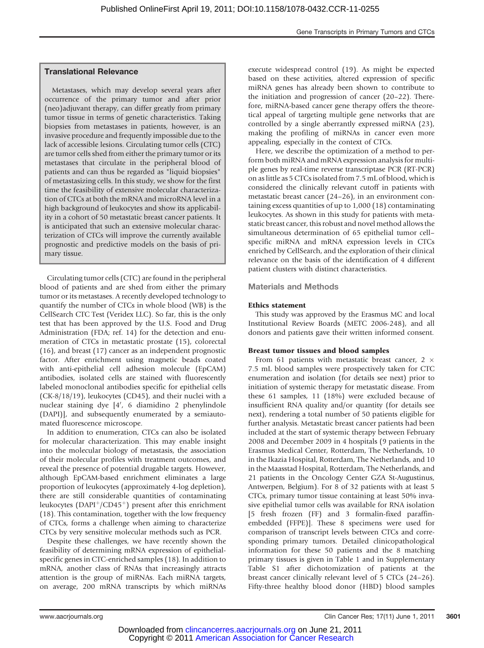# Translational Relevance

Metastases, which may develop several years after occurrence of the primary tumor and after prior (neo)adjuvant therapy, can differ greatly from primary tumor tissue in terms of genetic characteristics. Taking biopsies from metastases in patients, however, is an invasive procedure and frequently impossible due to the lack of accessible lesions. Circulating tumor cells (CTC) are tumor cells shed from either the primary tumor or its metastases that circulate in the peripheral blood of patients and can thus be regarded as "liquid biopsies" of metastasizing cells. In this study, we show for the first time the feasibility of extensive molecular characterization of CTCs at both the mRNA and microRNA level in a high background of leukocytes and show its applicability in a cohort of 50 metastatic breast cancer patients. It is anticipated that such an extensive molecular characterization of CTCs will improve the currently available prognostic and predictive models on the basis of primary tissue.

Circulating tumor cells (CTC) are found in the peripheral blood of patients and are shed from either the primary tumor or its metastases. A recently developed technology to quantify the number of CTCs in whole blood (WB) is the CellSearch CTC Test (Veridex LLC). So far, this is the only test that has been approved by the U.S. Food and Drug Administration (FDA; ref. 14) for the detection and enumeration of CTCs in metastatic prostate (15), colorectal (16), and breast (17) cancer as an independent prognostic factor. After enrichment using magnetic beads coated with anti-epithelial cell adhesion molecule (EpCAM) antibodies, isolated cells are stained with fluorescently labeled monoclonal antibodies specific for epithelial cells (CK-8/18/19), leukocytes (CD45), and their nuclei with a nuclear staining dye [4', 6 diamidino 2 phenylindole (DAPI)], and subsequently enumerated by a semiautomated fluorescence microscope.

In addition to enumeration, CTCs can also be isolated for molecular characterization. This may enable insight into the molecular biology of metastasis, the association of their molecular profiles with treatment outcomes, and reveal the presence of potential drugable targets. However, although EpCAM-based enrichment eliminates a large proportion of leukocytes (approximately 4-log depletion), there are still considerable quantities of contaminating leukocytes (DAPI<sup>+</sup>/CD45<sup>+</sup>) present after this enrichment (18). This contamination, together with the low frequency of CTCs, forms a challenge when aiming to characterize CTCs by very sensitive molecular methods such as PCR.

Despite these challenges, we have recently shown the feasibility of determining mRNA expression of epithelialspecific genes in CTC-enriched samples (18). In addition to mRNA, another class of RNAs that increasingly attracts attention is the group of miRNAs. Each miRNA targets, on average, 200 mRNA transcripts by which miRNAs

execute widespread control (19). As might be expected based on these activities, altered expression of specific miRNA genes has already been shown to contribute to the initiation and progression of cancer (20–22). Therefore, miRNA-based cancer gene therapy offers the theoretical appeal of targeting multiple gene networks that are controlled by a single aberrantly expressed miRNA (23), making the profiling of miRNAs in cancer even more appealing, especially in the context of CTCs.

Here, we describe the optimization of a method to perform both miRNA and mRNA expression analysis for multiple genes by real-time reverse transcriptase PCR (RT-PCR) on as little as 5 CTCs isolated from 7.5 mL of blood, which is considered the clinically relevant cutoff in patients with metastatic breast cancer (24–26), in an environment containing excess quantities of up to 1,000 (18) contaminating leukocytes. As shown in this study for patients with metastatic breast cancer, this robust and novel method allows the simultaneous determination of 65 epithelial tumor cell– specific miRNA and mRNA expression levels in CTCs enriched by CellSearch, and the exploration of their clinical relevance on the basis of the identification of 4 different patient clusters with distinct characteristics.

#### Materials and Methods

#### Ethics statement

This study was approved by the Erasmus MC and local Institutional Review Boards (METC 2006-248), and all donors and patients gave their written informed consent.

#### Breast tumor tissues and blood samples

From 61 patients with metastatic breast cancer, 2  $\times$ 7.5 mL blood samples were prospectively taken for CTC enumeration and isolation (for details see next) prior to initiation of systemic therapy for metastatic disease. From these 61 samples, 11 (18%) were excluded because of insufficient RNA quality and/or quantity (for details see next), rendering a total number of 50 patients eligible for further analysis. Metastatic breast cancer patients had been included at the start of systemic therapy between February 2008 and December 2009 in 4 hospitals (9 patients in the Erasmus Medical Center, Rotterdam, The Netherlands, 10 in the Ikazia Hospital, Rotterdam, The Netherlands, and 10 in the Maasstad Hospital, Rotterdam, The Netherlands, and 21 patients in the Oncology Center GZA St-Augustinus, Antwerpen, Belgium). For 8 of 32 patients with at least 5 CTCs, primary tumor tissue containing at least 50% invasive epithelial tumor cells was available for RNA isolation [5 fresh frozen (FF) and 3 formalin-fixed paraffinembedded (FFPE)]. These 8 specimens were used for comparison of transcript levels between CTCs and corresponding primary tumors. Detailed clinicopathological information for these 50 patients and the 8 matching primary tissues is given in Table 1 and in Supplementary Table S1 after dichotomization of patients at the breast cancer clinically relevant level of 5 CTCs (24–26). Fifty-three healthy blood donor (HBD) blood samples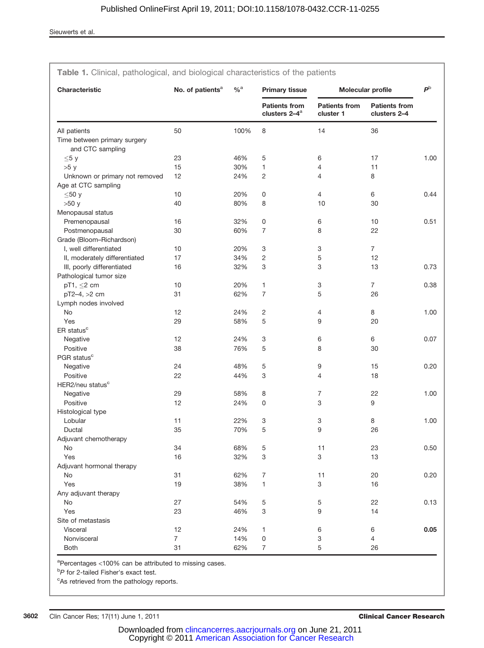| Characteristic                                   | No. of patients <sup>a</sup> | $\%$ <sup>a</sup> | <b>Primary tissue</b>                             |                                   | Molecular profile                    | $\mathbf{P}^{\mathrm{b}}$ |
|--------------------------------------------------|------------------------------|-------------------|---------------------------------------------------|-----------------------------------|--------------------------------------|---------------------------|
|                                                  |                              |                   | <b>Patients from</b><br>clusters 2-4 <sup>a</sup> | <b>Patients from</b><br>cluster 1 | <b>Patients from</b><br>clusters 2-4 |                           |
| All patients                                     | 50                           | 100%              | 8                                                 | 14                                | 36                                   |                           |
| Time between primary surgery<br>and CTC sampling |                              |                   |                                                   |                                   |                                      |                           |
| $\leq 5 y$                                       | 23                           | 46%               | 5                                                 | 6                                 | 17                                   | 1.00                      |
| >5y                                              | 15                           | 30%               | 1                                                 | 4                                 | 11                                   |                           |
| Unknown or primary not removed                   | 12                           | 24%               | $\mathbf{2}$                                      | $\overline{4}$                    | 8                                    |                           |
| Age at CTC sampling                              |                              |                   |                                                   |                                   |                                      |                           |
| $≤50y$                                           | 10                           | 20%               | 0                                                 | $\overline{4}$                    | 6                                    | 0.44                      |
| >50 y                                            | 40                           | 80%               | 8                                                 | 10                                | 30                                   |                           |
| Menopausal status                                |                              |                   |                                                   |                                   |                                      |                           |
| Premenopausal                                    | 16                           | 32%               | 0                                                 | 6                                 | 10                                   | 0.51                      |
| Postmenopausal                                   | 30                           | 60%               | $\overline{7}$                                    | 8                                 | 22                                   |                           |
| Grade (Bloom-Richardson)                         |                              |                   |                                                   |                                   |                                      |                           |
| I, well differentiated                           | 10                           | 20%               | 3                                                 | 3                                 | $\overline{7}$                       |                           |
| II, moderately differentiated                    | 17                           | 34%               | $\mathbf{2}$                                      | 5                                 | 12                                   |                           |
| III, poorly differentiated                       | 16                           | 32%               | 3                                                 | 3                                 | 13                                   | 0.73                      |
| Pathological tumor size                          |                              |                   |                                                   |                                   |                                      |                           |
| pT1, $\leq$ 2 cm                                 | 10                           | 20%               | $\mathbf{1}$                                      | 3                                 | $\overline{7}$                       | 0.38                      |
| pT2-4, >2 cm                                     | 31                           | 62%               | $\overline{7}$                                    | 5                                 | 26                                   |                           |
| Lymph nodes involved                             |                              |                   |                                                   |                                   |                                      |                           |
| No                                               | 12                           | 24%               | $\overline{c}$                                    | 4                                 | 8                                    | 1.00                      |
| Yes                                              | 29                           | 58%               | 5                                                 | 9                                 | 20                                   |                           |
| ER status <sup>c</sup>                           |                              |                   |                                                   |                                   |                                      |                           |
| Negative                                         | 12                           | 24%               | 3                                                 | 6                                 | 6                                    | 0.07                      |
| Positive                                         | 38                           | 76%               | 5                                                 | 8                                 | 30                                   |                           |
| PGR status <sup>c</sup>                          |                              |                   |                                                   |                                   |                                      |                           |
| Negative                                         | 24                           | 48%               | 5                                                 | 9                                 | 15                                   | 0.20                      |
| Positive                                         | 22                           | 44%               | 3                                                 | 4                                 | 18                                   |                           |
| HER2/neu status <sup>c</sup>                     |                              |                   |                                                   |                                   |                                      |                           |
| Negative                                         | 29                           | 58%               | 8                                                 | $\overline{7}$                    | 22                                   | 1.00                      |
| Positive                                         | 12                           | 24%               | 0                                                 | 3                                 | 9                                    |                           |
| Histological type                                |                              |                   |                                                   |                                   |                                      |                           |
| Lobular                                          | 11                           | 22%               | 3                                                 | 3                                 | 8                                    | 1.00                      |
| Ductal                                           | 35                           | 70%               | 5                                                 | 9                                 | 26                                   |                           |
| Adjuvant chemotherapy                            |                              |                   |                                                   |                                   |                                      |                           |
| No                                               | 34                           | 68%               | 5                                                 | 11                                | 23                                   | 0.50                      |
| Yes                                              | 16                           | 32%               | 3                                                 | 3                                 | 13                                   |                           |
| Adjuvant hormonal therapy                        |                              |                   |                                                   |                                   |                                      |                           |
| No                                               | 31                           | 62%               | $\overline{7}$                                    | 11                                | 20                                   | 0.20                      |
| Yes                                              | 19                           | 38%               | 1                                                 | 3                                 | 16                                   |                           |
| Any adjuvant therapy                             |                              |                   |                                                   |                                   |                                      |                           |
| No                                               | 27                           | 54%               | $\mathbf 5$                                       | 5                                 | 22                                   | 0.13                      |
| Yes                                              | 23                           | 46%               | 3                                                 | 9                                 | 14                                   |                           |
| Site of metastasis                               |                              |                   |                                                   |                                   |                                      |                           |
| Visceral                                         | 12                           | 24%               | 1                                                 | 6                                 | 6                                    | 0.05                      |
| Nonvisceral                                      | 7                            | 14%               | 0                                                 | 3                                 | $\overline{4}$                       |                           |
| <b>Both</b>                                      | 31                           | 62%               | $\overline{7}$                                    | 5                                 | 26                                   |                           |

Table 1. Clinical, pathological, and biological characteristics of the patients

<sup>a</sup>Percentages <100% can be attributed to missing cases.

<sup>b</sup>P for 2-tailed Fisher's exact test.

<sup>c</sup>As retrieved from the pathology reports.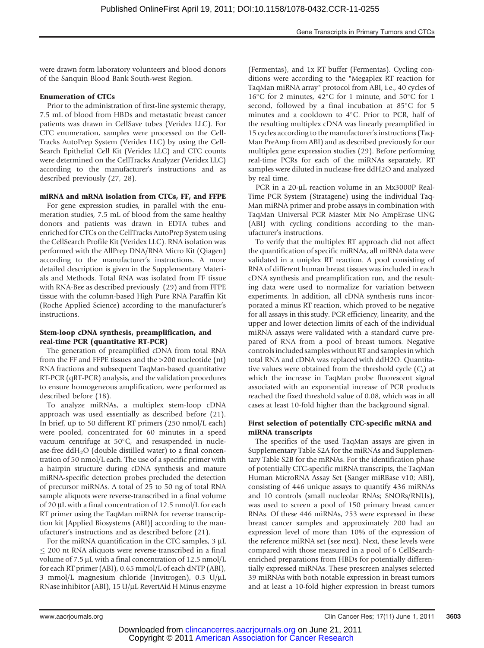were drawn form laboratory volunteers and blood donors of the Sanquin Blood Bank South-west Region.

#### Enumeration of CTCs

Prior to the administration of first-line systemic therapy, 7.5 mL of blood from HBDs and metastatic breast cancer patients was drawn in CellSave tubes (Veridex LLC). For CTC enumeration, samples were processed on the Cell-Tracks AutoPrep System (Veridex LLC) by using the Cell-Search Epithelial Cell Kit (Veridex LLC) and CTC counts were determined on the CellTracks Analyzer (Veridex LLC) according to the manufacturer's instructions and as described previously (27, 28).

#### miRNA and mRNA isolation from CTCs, FF, and FFPE

For gene expression studies, in parallel with the enumeration studies, 7.5 mL of blood from the same healthy donors and patients was drawn in EDTA tubes and enriched for CTCs on the CellTracks AutoPrep System using the CellSearch Profile Kit (Veridex LLC). RNA isolation was performed with the AllPrep DNA/RNA Micro Kit (Qiagen) according to the manufacturer's instructions. A more detailed description is given in the Supplementary Materials and Methods. Total RNA was isolated from FF tissue with RNA-Bee as described previously (29) and from FFPE tissue with the column-based High Pure RNA Paraffin Kit (Roche Applied Science) according to the manufacturer's instructions.

### Stem-loop cDNA synthesis, preamplification, and real-time PCR (quantitative RT-PCR)

The generation of preamplified cDNA from total RNA from the FF and FFPE tissues and the >200 nucleotide (nt) RNA fractions and subsequent TaqMan-based quantitative RT-PCR (qRT-PCR) analysis, and the validation procedures to ensure homogeneous amplification, were performed as described before (18).

To analyze miRNAs, a multiplex stem-loop cDNA approach was used essentially as described before (21). In brief, up to 50 different RT primers (250 nmol/L each) were pooled, concentrated for 60 minutes in a speed vacuum centrifuge at  $50^{\circ}$ C, and resuspended in nuclease-free  $ddH<sub>2</sub>O$  (double distilled water) to a final concentration of 50 nmol/L each. The use of a specific primer with a hairpin structure during cDNA synthesis and mature miRNA-specific detection probes precluded the detection of precursor miRNAs. A total of 25 to 50 ng of total RNA sample aliquots were reverse-transcribed in a final volume of 20 µL with a final concentration of 12.5 nmol/L for each RT primer using the TaqMan miRNA for reverse transcription kit [Applied Biosystems (ABI)] according to the manufacturer's instructions and as described before (21).

For the miRNA quantification in the CTC samples,  $3 \mu L$  $\leq$  200 nt RNA aliquots were reverse-transcribed in a final volume of 7.5 µL with a final concentration of 12.5 nmol/L for each RT primer (ABI), 0.65 mmol/L of each dNTP (ABI), 3 mmol/L magnesium chloride (Invitrogen), 0.3  $U/\mu L$ RNase inhibitor (ABI),  $15$  U/ $\mu$ L RevertAid H Minus enzyme

(Fermentas), and 1x RT buffer (Fermentas). Cycling conditions were according to the "Megaplex RT reaction for TaqMan miRNA array" protocol from ABI, i.e., 40 cycles of 16<sup>°</sup>C for 2 minutes, 42<sup>°</sup>C for 1 minute, and 50<sup>°</sup>C for 1 second, followed by a final incubation at  $85^{\circ}$ C for 5 minutes and a cooldown to  $4^{\circ}$ C. Prior to PCR, half of the resulting multiplex cDNA was linearly preamplified in 15 cycles according to the manufacturer's instructions (Taq-Man PreAmp from ABI) and as described previously for our multiplex gene expression studies (29). Before performing real-time PCRs for each of the miRNAs separately, RT samples were diluted in nuclease-free ddH2O and analyzed by real time.

PCR in a 20-µL reaction volume in an Mx3000P Real-Time PCR System (Stratagene) using the individual Taq-Man miRNA primer and probe assays in combination with TaqMan Universal PCR Master Mix No AmpErase UNG (ABI) with cycling conditions according to the manufacturer's instructions.

To verify that the multiplex RT approach did not affect the quantification of specific miRNAs, all miRNA data were validated in a uniplex RT reaction. A pool consisting of RNA of different human breast tissues was included in each cDNA synthesis and preamplification run, and the resulting data were used to normalize for variation between experiments. In addition, all cDNA synthesis runs incorporated a minus RT reaction, which proved to be negative for all assays in this study. PCR efficiency, linearity, and the upper and lower detection limits of each of the individual miRNA assays were validated with a standard curve prepared of RNA from a pool of breast tumors. Negative controls included samples without RT and samples in which total RNA and cDNA was replaced with ddH2O. Quantitative values were obtained from the threshold cycle  $(C_t)$  at which the increase in TaqMan probe fluorescent signal associated with an exponential increase of PCR products reached the fixed threshold value of 0.08, which was in all cases at least 10-fold higher than the background signal.

### First selection of potentially CTC-specific mRNA and miRNA transcripts

The specifics of the used TaqMan assays are given in Supplementary Table S2A for the miRNAs and Supplementary Table S2B for the mRNAs. For the identification phase of potentially CTC-specific miRNA transcripts, the TaqMan Human MicroRNA Assay Set (Sanger miRBase v10; ABI), consisting of 446 unique assays to quantify 436 miRNAs and 10 controls (small nucleolar RNAs; SNORs/RNUs), was used to screen a pool of 150 primary breast cancer RNAs. Of these 446 miRNAs, 253 were expressed in these breast cancer samples and approximately 200 had an expression level of more than 10% of the expression of the reference miRNA set (see next). Next, these levels were compared with those measured in a pool of 6 CellSearchenriched preparations from HBDs for potentially differentially expressed miRNAs. These prescreen analyses selected 39 miRNAs with both notable expression in breast tumors and at least a 10-fold higher expression in breast tumors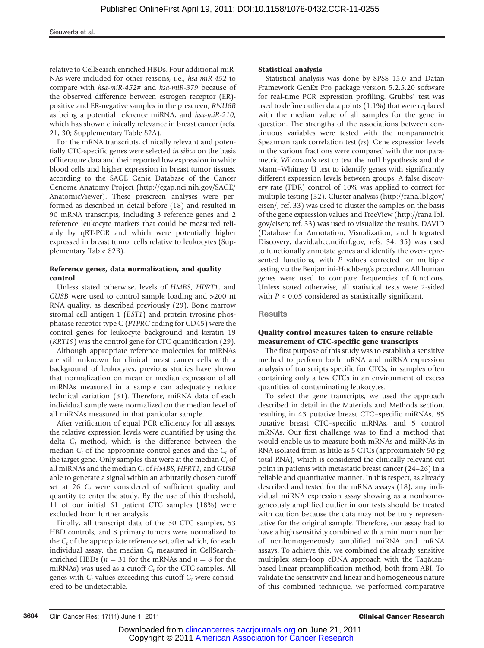Sieuwerts et al.

relative to CellSearch enriched HBDs. Four additional miR-NAs were included for other reasons, i.e., hsa-miR-452 to compare with hsa-miR-452# and hsa-miR-379 because of the observed difference between estrogen receptor (ER) positive and ER-negative samples in the prescreen, RNU6B as being a potential reference miRNA, and hsa-miR-210, which has shown clinically relevance in breast cancer (refs. 21, 30; Supplementary Table S2A).

For the mRNA transcripts, clinically relevant and potentially CTC-specific genes were selected in silico on the basis of literature data and their reported low expression in white blood cells and higher expression in breast tumor tissues, according to the SAGE Genie Database of the Cancer Genome Anatomy Project (http://cgap.nci.nih.gov/SAGE/ AnatomicViewer). These prescreen analyses were performed as described in detail before (18) and resulted in 90 mRNA transcripts, including 3 reference genes and 2 reference leukocyte markers that could be measured reliably by qRT-PCR and which were potentially higher expressed in breast tumor cells relative to leukocytes (Supplementary Table S2B).

### Reference genes, data normalization, and quality control

Unless stated otherwise, levels of HMBS, HPRT1, and GUSB were used to control sample loading and >200 nt RNA quality, as described previously (29). Bone marrow stromal cell antigen 1 (BST1) and protein tyrosine phosphatase receptor type C (PTPRC coding for CD45) were the control genes for leukocyte background and keratin 19 (KRT19) was the control gene for CTC quantification (29).

Although appropriate reference molecules for miRNAs are still unknown for clinical breast cancer cells with a background of leukocytes, previous studies have shown that normalization on mean or median expression of all miRNAs measured in a sample can adequately reduce technical variation (31). Therefore, miRNA data of each individual sample were normalized on the median level of all miRNAs measured in that particular sample.

After verification of equal PCR efficiency for all assays, the relative expression levels were quantified by using the delta  $C_t$  method, which is the difference between the median  $C_t$  of the appropriate control genes and the  $C_t$  of the target gene. Only samples that were at the median  $C_t$  of all miRNAs and the median  $C_t$  of HMBS, HPRT1, and GUSB able to generate a signal within an arbitrarily chosen cutoff set at 26  $C_t$  were considered of sufficient quality and quantity to enter the study. By the use of this threshold, 11 of our initial 61 patient CTC samples (18%) were excluded from further analysis.

Finally, all transcript data of the 50 CTC samples, 53 HBD controls, and 8 primary tumors were normalized to the  $C_t$  of the appropriate reference set, after which, for each individual assay, the median  $C_t$  measured in CellSearchenriched HBDs ( $n = 31$  for the mRNAs and  $n = 8$  for the miRNAs) was used as a cutoff  $C_t$  for the CTC samples. All genes with  $C_t$  values exceeding this cutoff  $C_t$  were considered to be undetectable.

#### Statistical analysis

Statistical analysis was done by SPSS 15.0 and Datan Framework GenEx Pro package version 5.2.5.20 software for real-time PCR expression profiling. Grubbs' test was used to define outlier data points (1.1%) that were replaced with the median value of all samples for the gene in question. The strengths of the associations between continuous variables were tested with the nonparametric Spearman rank correlation test (rs). Gene expression levels in the various fractions were compared with the nonparametric Wilcoxon's test to test the null hypothesis and the Mann–Whitney U test to identify genes with significantly different expression levels between groups. A false discovery rate (FDR) control of 10% was applied to correct for multiple testing (32). Cluster analysis (http://rana.lbl.gov/ eisen/; ref. 33) was used to cluster the samples on the basis of the gene expression values and TreeView (http://rana.lbl. gov/eisen; ref. 33) was used to visualize the results. DAVID (Database for Annotation, Visualization, and Integrated Discovery, david.abcc.ncifcrf.gov; refs. 34, 35) was used to functionally annotate genes and identify the over-represented functions, with  $P$  values corrected for multiple testing via the Benjamini-Hochberg's procedure. All human genes were used to compare frequencies of functions. Unless stated otherwise, all statistical tests were 2-sided with  $P < 0.05$  considered as statistically significant.

#### **Results**

#### Quality control measures taken to ensure reliable measurement of CTC-specific gene transcripts

The first purpose of this study was to establish a sensitive method to perform both mRNA and miRNA expression analysis of transcripts specific for CTCs, in samples often containing only a few CTCs in an environment of excess quantities of contaminating leukocytes.

To select the gene transcripts, we used the approach described in detail in the Materials and Methods section, resulting in 43 putative breast CTC–specific miRNAs, 85 putative breast CTC–specific mRNAs, and 5 control mRNAs. Our first challenge was to find a method that would enable us to measure both mRNAs and miRNAs in RNA isolated from as little as 5 CTCs (approximately 50 pg total RNA), which is considered the clinically relevant cut point in patients with metastatic breast cancer (24–26) in a reliable and quantitative manner. In this respect, as already described and tested for the mRNA assays (18), any individual miRNA expression assay showing as a nonhomogeneously amplified outlier in our tests should be treated with caution because the data may not be truly representative for the original sample. Therefore, our assay had to have a high sensitivity combined with a minimum number of nonhomogeneously amplified miRNA and mRNA assays. To achieve this, we combined the already sensitive multiplex stem-loop cDNA approach with the TaqManbased linear preamplification method, both from ABI. To validate the sensitivity and linear and homogeneous nature of this combined technique, we performed comparative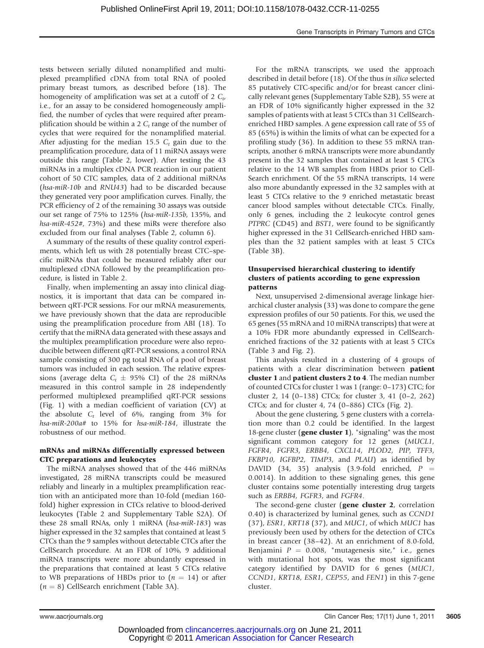tests between serially diluted nonamplified and multiplexed preamplified cDNA from total RNA of pooled primary breast tumors, as described before (18). The homogeneity of amplification was set at a cutoff of 2  $C_t$ , i.e., for an assay to be considered homogeneously amplified, the number of cycles that were required after preamplification should be within a 2  $C_t$  range of the number of cycles that were required for the nonamplified material. After adjusting for the median 15.5  $C_t$  gain due to the preamplification procedure, data of 11 miRNA assays were outside this range (Table 2, lower). After testing the 43 miRNAs in a multiplex cDNA PCR reaction in our patient cohort of 50 CTC samples, data of 2 additional miRNAs (hsa-miR-10b and RNU43) had to be discarded because they generated very poor amplification curves. Finally, the PCR efficiency of 2 of the remaining 30 assays was outside our set range of 75% to 125% (hsa-miR-135b, 135%, and hsa-miR-452#, 73%) and these miRs were therefore also excluded from our final analyses (Table 2, column 6).

A summary of the results of these quality control experiments, which left us with 28 potentially breast CTC–specific miRNAs that could be measured reliably after our multiplexed cDNA followed by the preamplification procedure, is listed in Table 2.

Finally, when implementing an assay into clinical diagnostics, it is important that data can be compared inbetween qRT-PCR sessions. For our mRNA measurements, we have previously shown that the data are reproducible using the preamplification procedure from ABI (18). To certify that the miRNA data generated with these assays and the multiplex preamplification procedure were also reproducible between different qRT-PCR sessions, a control RNA sample consisting of 300 pg total RNA of a pool of breast tumors was included in each session. The relative expressions (average delta  $C_t \pm 95\%$  CI) of the 28 miRNAs measured in this control sample in 28 independently performed multiplexed preamplified qRT-PCR sessions (Fig. 1) with a median coefficient of variation (CV) at the absolute  $C_t$  level of 6%, ranging from 3% for hsa-miR-200a# to 15% for hsa-miR-184, illustrate the robustness of our method.

#### mRNAs and miRNAs differentially expressed between CTC preparations and leukocytes

The miRNA analyses showed that of the 446 miRNAs investigated, 28 miRNA transcripts could be measured reliably and linearly in a multiplex preamplification reaction with an anticipated more than 10-fold (median 160 fold) higher expression in CTCs relative to blood-derived leukocytes (Table 2 and Supplementary Table S2A). Of these 28 small RNAs, only 1 miRNA (hsa-miR-183) was higher expressed in the 32 samples that contained at least 5 CTCs than the 9 samples without detectable CTCs after the CellSearch procedure. At an FDR of 10%, 9 additional miRNA transcripts were more abundantly expressed in the preparations that contained at least 5 CTCs relative to WB preparations of HBDs prior to  $(n = 14)$  or after  $(n = 8)$  CellSearch enrichment (Table 3A).

For the mRNA transcripts, we used the approach described in detail before (18). Of the thus in silico selected 85 putatively CTC-specific and/or for breast cancer clinically relevant genes (Supplementary Table S2B), 55 were at an FDR of 10% significantly higher expressed in the 32 samples of patients with at least 5 CTCs than 31 CellSearchenriched HBD samples. A gene expression call rate of 55 of 85 (65%) is within the limits of what can be expected for a profiling study (36). In addition to these 55 mRNA transcripts, another 6 mRNA transcripts were more abundantly present in the 32 samples that contained at least 5 CTCs relative to the 14 WB samples from HBDs prior to Cell-Search enrichment. Of the 55 mRNA transcripts, 14 were also more abundantly expressed in the 32 samples with at least 5 CTCs relative to the 9 enriched metastatic breast cancer blood samples without detectable CTCs. Finally, only 6 genes, including the 2 leukocyte control genes PTPRC (CD45) and BST1, were found to be significantly higher expressed in the 31 CellSearch-enriched HBD samples than the 32 patient samples with at least 5 CTCs (Table 3B).

### Unsupervised hierarchical clustering to identify clusters of patients according to gene expression patterns

Next, unsupervised 2-dimensional average linkage hierarchical cluster analysis (33) was done to compare the gene expression profiles of our 50 patients. For this, we used the 65 genes (55 mRNA and 10 miRNA transcripts) that were at a 10% FDR more abundantly expressed in CellSearchenriched fractions of the 32 patients with at least 5 CTCs (Table 3 and Fig. 2).

This analysis resulted in a clustering of 4 groups of patients with a clear discrimination between **patient** cluster 1 and patient clusters 2 to 4. The median number of counted CTCs for cluster 1 was 1 (range: 0–173) CTC; for cluster 2, 14 (0–138) CTCs; for cluster 3, 41 (0–2, 262) CTCs; and for cluster 4, 74 (0–886) CTCs (Fig. 2).

About the gene clustering, 5 gene clusters with a correlation more than 0.2 could be identified. In the largest 18-gene cluster (gene cluster 1), "signaling" was the most significant common category for 12 genes (MUCL1, FGFR4, FGFR3, ERBB4, CXCL14, PLOD2, PIP, TFF3, FKBP10, IGFBP2, TIMP3, and PLAU) as identified by DAVID (34, 35) analysis (3.9-fold enriched,  $P =$ 0.0014). In addition to these signaling genes, this gene cluster contains some potentially interesting drug targets such as ERBB4, FGFR3, and FGFR4.

The second-gene cluster (gene cluster 2, correlation 0.40) is characterized by luminal genes, such as CCND1 (37), ESR1, KRT18 (37), and MUC1, of which MUC1 has previously been used by others for the detection of CTCs in breast cancer (38–42). At an enrichment of 8.0-fold, Benjamini  $P = 0.008$ , "mutagenesis site," i.e., genes with mutational hot spots, was the most significant category identified by DAVID for 6 genes (MUC1, CCND1, KRT18, ESR1, CEP55, and FEN1) in this 7-gene cluster.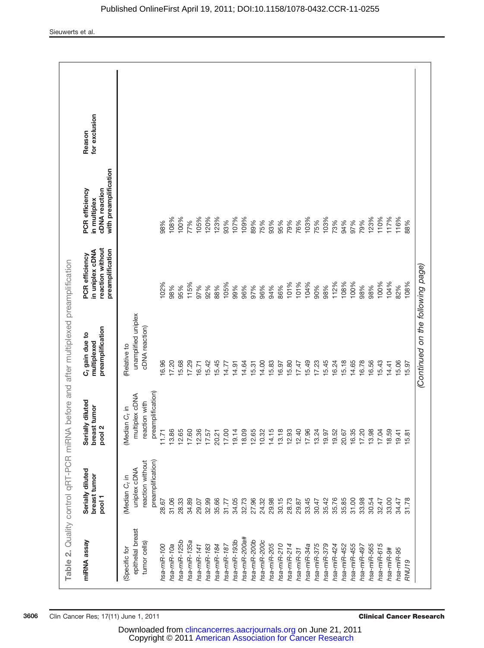| Table 2. Quality control qRT-PCR miRNA before and after multiplexed preamplification |                                            |                                               |                                                      |                                                                           |                                                                                 |                         |
|--------------------------------------------------------------------------------------|--------------------------------------------|-----------------------------------------------|------------------------------------------------------|---------------------------------------------------------------------------|---------------------------------------------------------------------------------|-------------------------|
| miRNA assay                                                                          | Serially diluted<br>breast tumor<br>pool 1 | Serially diluted<br>breast tumor<br>N<br>pool | preamplification<br>$C_t$ gain due to<br>multiplexed | reaction without<br>preamplification<br>in uniplex cDNA<br>PCR efficiency | with preamplification<br><b>PCR</b> efficiency<br>cDNA reaction<br>in multiplex | for exclusion<br>Reason |
| (Specific for                                                                        | Median C <sub>t</sub> in                   | Median C <sub>t</sub> in                      | Relative to                                          |                                                                           |                                                                                 |                         |
| epithelial breast                                                                    | uniplex cDNA                               | multiplex cDNA                                | unamplified uniplex                                  |                                                                           |                                                                                 |                         |
| tumor cells)                                                                         | preamplification)<br>reaction without      | preamplification)<br>reaction with            | cDNA reaction)                                       |                                                                           |                                                                                 |                         |
| hsa-miR-100                                                                          | 28.67                                      | 11.71                                         | 16.96                                                | 102%                                                                      | 98%                                                                             |                         |
| hsa-miR-10a                                                                          | 31.06                                      | 13.86                                         | 17.20                                                | 98%                                                                       | 108%                                                                            |                         |
| hsa-miR-125b                                                                         | 28.33                                      | 12.65                                         | 5.68                                                 | 95%                                                                       | 100%                                                                            |                         |
| hsa-miR-135a                                                                         | 34.89                                      | 17.60                                         | 17.29                                                | 115%                                                                      | 77%                                                                             |                         |
| hsa-miR-141                                                                          | 29.07                                      | 12.36                                         | 6.71                                                 | 97%                                                                       | 105%                                                                            |                         |
| hsa-miR-183                                                                          | 32.99                                      | 17.57                                         | 5.42                                                 | 92%                                                                       | 120%                                                                            |                         |
| hsa-miR-184                                                                          | 35.66                                      | 20.21                                         | 5.45                                                 | 88%                                                                       | 123%                                                                            |                         |
| hsa-miR-187                                                                          | 31.77                                      | 17.00                                         | 14.77                                                | 105%                                                                      | 93%                                                                             |                         |
| hsa-miR-193b                                                                         | 34.05                                      | 19.14                                         | 14.91                                                | 99%                                                                       | 107%                                                                            |                         |
| hsa-miR-200a#                                                                        | 32.73                                      | 18.09                                         | 14.64                                                | 96%                                                                       | 109%                                                                            |                         |
| hsa-miR-200b                                                                         | 27.96                                      | 12.65                                         | 15.31                                                | 97%                                                                       | 89%                                                                             |                         |
| hsa-miR-200c                                                                         | 24.32                                      | 10.32                                         | 14.00                                                | 96%                                                                       | 75%                                                                             |                         |
| hsa-miR-205                                                                          | 29.98                                      | 5<br>14.1                                     | 15.83                                                | 94%                                                                       | 93%                                                                             |                         |
| hsa-miR-210                                                                          | 30.15                                      | 13.18                                         | 16.97                                                | 86%                                                                       | 95%                                                                             |                         |
| hsa-miR-214                                                                          | 28.73                                      | 12.93                                         | 15.80                                                | 101%                                                                      | 79%                                                                             |                         |
| $hsa-miR-31$                                                                         | 29.87                                      | 12.40                                         | 17.47                                                | 101%                                                                      | 76%                                                                             |                         |
| hsa-miR-34a                                                                          | 33.45                                      | 17.96                                         | 15.49                                                | 104%                                                                      | 103%                                                                            |                         |
| hsa-miR-375                                                                          | 30.47                                      | 13.24                                         | 17.23                                                | 90%                                                                       | 75%                                                                             |                         |
| hsa-miR-379                                                                          | 35.42                                      | 19.97                                         | 15.45                                                | 98%                                                                       | 103%                                                                            |                         |
| hsa-miR-424                                                                          | 35.76                                      | 19.52                                         | 16.24                                                | 112%                                                                      | 73%                                                                             |                         |
| hsa-miR-452                                                                          | 35.85                                      | 20.67                                         | 5.18                                                 | 108%                                                                      | 94%                                                                             |                         |
| hsa-miR-455                                                                          | 31.00                                      | 16.35                                         | 14.65                                                | 100%                                                                      | 97%                                                                             |                         |
| hsa-miR-497                                                                          | 33.98                                      | 17.20                                         | 16.78                                                | 98%                                                                       | 79%                                                                             |                         |
| hsa-miR-565                                                                          | 30.54                                      | 13.98                                         | 16.56                                                | 98%                                                                       | 123%                                                                            |                         |
| hsa-miR-615                                                                          | 32.47                                      | 17.04                                         | 15.43                                                | 100%                                                                      | 110%                                                                            |                         |
| hsa-miR-9#                                                                           | 33.00                                      | 18.59                                         | 14.41                                                | 104%                                                                      | 117%                                                                            |                         |
| hsa-miR-95                                                                           | 34.47                                      | 19.41                                         | 15.06                                                | 82%                                                                       | 116%                                                                            |                         |
| <b>RNU19</b>                                                                         | 31.78                                      | 15.8                                          | 15.97                                                | 108%                                                                      | 88%                                                                             |                         |
|                                                                                      |                                            |                                               | (Continued on the following page)                    |                                                                           |                                                                                 |                         |
|                                                                                      |                                            |                                               |                                                      |                                                                           |                                                                                 |                         |

Published OnlineFirst April 19, 2011; DOI:10.1158/1078-0432.CCR-11-0255

 Copyright © 2011 [American Association for Cancer Research](http://www.aacr.org/) Downloaded from [clincancerres.aacrjournals.org](http://clincancerres.aacrjournals.org/) on June 21, 2011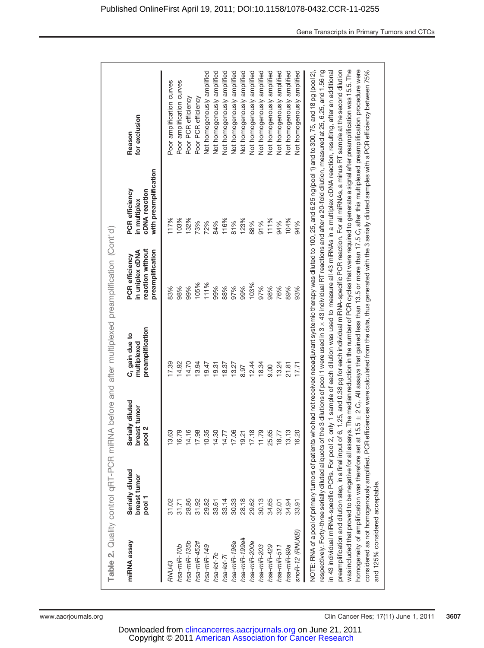|                                 | Table 2. Quality control qRT-PCR miRNA                     |                                                    | before and after multiplexed preamplification (Cont'd)        |                                                                           |                                                                          |                                                                                                                                                                                                                                                                                                                                                                                                                                                                                                                                                                                                                                                                                                                                                                                                                                                                                                                                                                                                                                                                                                                                                                                                                                                                                                 |
|---------------------------------|------------------------------------------------------------|----------------------------------------------------|---------------------------------------------------------------|---------------------------------------------------------------------------|--------------------------------------------------------------------------|-------------------------------------------------------------------------------------------------------------------------------------------------------------------------------------------------------------------------------------------------------------------------------------------------------------------------------------------------------------------------------------------------------------------------------------------------------------------------------------------------------------------------------------------------------------------------------------------------------------------------------------------------------------------------------------------------------------------------------------------------------------------------------------------------------------------------------------------------------------------------------------------------------------------------------------------------------------------------------------------------------------------------------------------------------------------------------------------------------------------------------------------------------------------------------------------------------------------------------------------------------------------------------------------------|
| miRNA assay                     | Serially diluted<br>breast tumor<br>pool 1                 | Serially diluted<br>breast tumor<br>pool 2<br>pool | preamplification<br>C <sub>t</sub> gain due to<br>multiplexed | reaction without<br>preamplification<br>in uniplex cDNA<br>PCR efficiency | with preamplification<br>PCR efficiency<br>cDNA reaction<br>in multiplex | for exclusion<br>Reason                                                                                                                                                                                                                                                                                                                                                                                                                                                                                                                                                                                                                                                                                                                                                                                                                                                                                                                                                                                                                                                                                                                                                                                                                                                                         |
| RNU43                           | 31.02                                                      | 13.63                                              | 17.39                                                         | 83%                                                                       | 117%                                                                     | Poor amplification curves                                                                                                                                                                                                                                                                                                                                                                                                                                                                                                                                                                                                                                                                                                                                                                                                                                                                                                                                                                                                                                                                                                                                                                                                                                                                       |
| hsa-miR-10b                     | 31.71                                                      | 16.79                                              | 14.92                                                         | 98%                                                                       | 103%                                                                     | Poor amplification curves                                                                                                                                                                                                                                                                                                                                                                                                                                                                                                                                                                                                                                                                                                                                                                                                                                                                                                                                                                                                                                                                                                                                                                                                                                                                       |
| hsa-miR-135b                    | 28.86                                                      | 14.16                                              | 14.70                                                         | 99%                                                                       | 132%                                                                     | Poor PCR efficiency                                                                                                                                                                                                                                                                                                                                                                                                                                                                                                                                                                                                                                                                                                                                                                                                                                                                                                                                                                                                                                                                                                                                                                                                                                                                             |
| hsa-miR-452#                    | 31.92                                                      | 17.98                                              | 13.94                                                         | 105%                                                                      | 73%                                                                      | Poor PCR efficiency                                                                                                                                                                                                                                                                                                                                                                                                                                                                                                                                                                                                                                                                                                                                                                                                                                                                                                                                                                                                                                                                                                                                                                                                                                                                             |
| hsa-miR-149                     | 29.82                                                      | 10.35                                              | 19.47                                                         | 111%                                                                      | 72%                                                                      | Not homogenously amplified                                                                                                                                                                                                                                                                                                                                                                                                                                                                                                                                                                                                                                                                                                                                                                                                                                                                                                                                                                                                                                                                                                                                                                                                                                                                      |
| hsa-let-7e                      | 33.61                                                      | 14.30                                              | 19.31                                                         | 99%                                                                       | 84%                                                                      | Not homogenously amplified                                                                                                                                                                                                                                                                                                                                                                                                                                                                                                                                                                                                                                                                                                                                                                                                                                                                                                                                                                                                                                                                                                                                                                                                                                                                      |
| $hsa$ -let-7                    | 33.14                                                      | 14.77                                              | 18.37                                                         | 88%                                                                       | 116%                                                                     | Not homogenously amplified                                                                                                                                                                                                                                                                                                                                                                                                                                                                                                                                                                                                                                                                                                                                                                                                                                                                                                                                                                                                                                                                                                                                                                                                                                                                      |
| hsa-miR-196a                    | 30.33                                                      | 17.06                                              | 13.27                                                         | 97%                                                                       | 81%                                                                      | Not homogenously amplified                                                                                                                                                                                                                                                                                                                                                                                                                                                                                                                                                                                                                                                                                                                                                                                                                                                                                                                                                                                                                                                                                                                                                                                                                                                                      |
| hsa-miR-199a#                   | 28.18                                                      | 19.21                                              | 8.97                                                          | 99%                                                                       | 123%                                                                     | Not homogenously amplified                                                                                                                                                                                                                                                                                                                                                                                                                                                                                                                                                                                                                                                                                                                                                                                                                                                                                                                                                                                                                                                                                                                                                                                                                                                                      |
| hsa-miR-200a                    | 29.62                                                      | 17.18                                              | 12.44                                                         | 103%                                                                      | 88%                                                                      | Not homogenously amplified                                                                                                                                                                                                                                                                                                                                                                                                                                                                                                                                                                                                                                                                                                                                                                                                                                                                                                                                                                                                                                                                                                                                                                                                                                                                      |
| hsa-miR-203                     | 30.13                                                      | 11.79                                              | 18.34                                                         | 97%                                                                       | 91%                                                                      | Not homogenously amplified                                                                                                                                                                                                                                                                                                                                                                                                                                                                                                                                                                                                                                                                                                                                                                                                                                                                                                                                                                                                                                                                                                                                                                                                                                                                      |
| hsa-miR-429                     | 34.65                                                      | 25.65                                              | 0.00                                                          | 98%                                                                       | 111%                                                                     | Not homogenously amplified                                                                                                                                                                                                                                                                                                                                                                                                                                                                                                                                                                                                                                                                                                                                                                                                                                                                                                                                                                                                                                                                                                                                                                                                                                                                      |
| $hsa-miR-511$                   | 32.01                                                      | 18.77                                              | 13.24                                                         | 76%                                                                       | 94%                                                                      | Not homogenously amplified                                                                                                                                                                                                                                                                                                                                                                                                                                                                                                                                                                                                                                                                                                                                                                                                                                                                                                                                                                                                                                                                                                                                                                                                                                                                      |
| hsa-miR-99a                     | 34.94                                                      | 13.13                                              | 21.81                                                         | 89%                                                                       | 104%                                                                     | Not homogenously amplified                                                                                                                                                                                                                                                                                                                                                                                                                                                                                                                                                                                                                                                                                                                                                                                                                                                                                                                                                                                                                                                                                                                                                                                                                                                                      |
| snoR-12 (RNU6B)                 | 33.91                                                      | 16.20                                              | 17.71                                                         | 93%                                                                       | 94%                                                                      | Not homogenously amplified                                                                                                                                                                                                                                                                                                                                                                                                                                                                                                                                                                                                                                                                                                                                                                                                                                                                                                                                                                                                                                                                                                                                                                                                                                                                      |
| and 125% considered acceptable. | preamplification and dilution step, in a final input of 6, |                                                    |                                                               |                                                                           |                                                                          | was included that proved to be negative for all assays. The median reduction in the number of PCR cycles that were required to generate a signal after preamplification was 15.5. The<br>homogeneity of amplification was therefore set at 15.5 ± 2 C <sub>t</sub> . All assays that gained less than 13.5 or more than 17.5 C <sub>t</sub> after this multiplexed preamplification procedure were<br>respectively. Forty-three serially diluted aliquots of the 3 dilutions of pool 1 were used in 3 x 43 individual RT reactions and after a 20-fold dilution, measured at 25, 6.25, and 1.56 ng<br>1.25, and 0.38 pg for each individual miRNA-specific PCR reaction. For all miRNAs, a minus RT sample at the second dilution<br>NOTE: RNA of a pool of primary turnors of patients who had not received neoadjuvant systemic therapy was diluted to 100, 25, and 6.25 ng (pool 1) and to 300, 75, and 18 pg (pool 2),<br>in 43 individual miRNA-specific PCRs. For pool 2, only 1 sample of each dilution was used to measure all 43 miRNAs in a multiplex cDNA reaction, resulting, after an additional<br>considered as not homogenously amplified. PCR efficiencies were calculated from the data, thus generated with the 3 serially diluted samples with a PCR efficiency between 75% |

 Copyright © 2011 [American Association for Cancer Research](http://www.aacr.org/) Downloaded from [clincancerres.aacrjournals.org](http://clincancerres.aacrjournals.org/) on June 21, 2011

www.aacrjournals.org **Clin Cancer Res**; 17(11) June 1, 2011 3607

Gene Transcripts in Primary Tumors and CTCs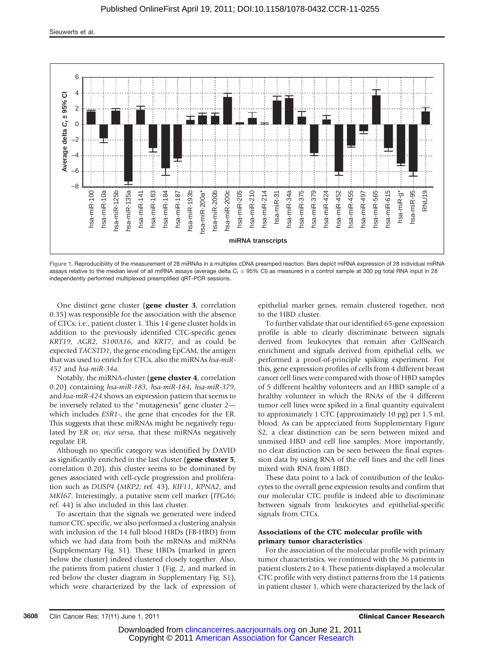

Figure 1. Reproducibility of the measurement of 28 miRNAs in a multiplex cDNA preamped reaction. Bars depict miRNA expression of 28 individual miRNA assays relative to the median level of all miRNA assays (average delta  $C_t \pm 95\%$  CI) as measured in a control sample at 300 pg total RNA input in 28 independently performed multiplexed preamplified qRT-PCR sessions.

One distinct gene cluster (gene cluster 3, correlation 0.35) was responsible for the association with the absence of CTCs, i.e., patient cluster 1. This 14-gene cluster holds in addition to the previously identified CTC-specific genes KRT19, AGR2, S100A16, and KRT7, and as could be expected TACSTD1, the gene encoding EpCAM, the antigen that was used to enrich for CTCs, also the miRNAs hsa-miR-452 and hsa-miR-34a.

Notably, the miRNA-cluster (gene cluster 4, correlation 0.20) containing hsa-miR-183, hsa-miR-184, hsa-miR-379, and hsa-miR-424 shows an expression pattern that seems to be inversely related to the "mutagenesis" gene cluster 2 which includes ESR1-, the gene that encodes for the ER. This suggests that these miRNAs might be negatively regulated by ER or, vice versa, that these miRNAs negatively regulate ER.

Although no specific category was identified by DAVID as significantly enriched in the last cluster (gene cluster 5, correlation 0.20), this cluster seems to be dominated by genes associated with cell-cycle progression and proliferation such as DUSP4 (MKP2; ref. 43), KIF11, KPNA2, and MKI67. Interestingly, a putative stem cell marker (ITGA6; ref. 44) is also included in this last cluster.

To ascertain that the signals we generated were indeed tumor CTC specific, we also performed a clustering analysis with inclusion of the 14 full blood HBDs (FB-HBD) from which we had data from both the mRNAs and miRNAs (Supplementary Fig. S1). These HBDs (marked in green below the cluster) indeed clustered closely together. Also, the patients from patient cluster 1 (Fig. 2, and marked in red below the cluster diagram in Supplementary Fig. S1), which were characterized by the lack of expression of epithelial marker genes, remain clustered together, next to the HBD cluster.

To further validate that our identified 65-gene expression profile is able to clearly discriminate between signals derived from leukocytes that remain after CellSearch enrichment and signals derived from epithelial cells, we performed a proof-of-principle spiking experiment. For this, gene expression profiles of cells from 4 different breast cancer cell lines were compared with those of HBD samples of 5 different healthy volunteers and an HBD sample of a healthy volunteer in which the RNAs of the 4 different tumor cell lines were spiked in a final quantity equivalent to approximately 1 CTC (approximately 10 pg) per 1.5 mL blood. As can be appreciated from Supplementary Figure S2, a clear distinction can be seen between mixed and unmixed HBD and cell line samples. More importantly, no clear distinction can be seen between the final expression data by using RNA of the cell lines and the cell lines mixed with RNA from HBD.

These data point to a lack of contribution of the leukocytes to the overall gene expression results and confirm that our molecular CTC profile is indeed able to discriminate between signals from leukocytes and epithelial-specific signals from CTCs.

## Associations of the CTC molecular profile with primary tumor characteristics

For the association of the molecular profile with primary tumor characteristics, we continued with the 36 patients in patient clusters 2 to 4. These patients displayed a molecular CTC profile with very distinct patterns from the 14 patients in patient cluster 1, which were characterized by the lack of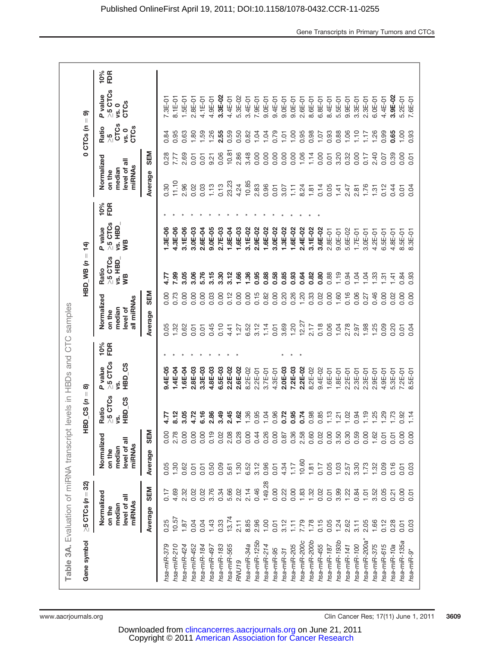| $10%$<br>FDR<br>$\geq$ 5 CTCs<br>P value<br>3.3E-02<br>3.9E-02<br>$5.3E - 02$<br>7.6E-01<br>4.9E-01<br>4.4E-01<br>$5.2E-01$<br>8.1E-01<br>$1.5E-01$<br>4.1E-01<br>$3.4E-01$<br>$9.0E-01$<br>$9.4E - 01$<br>$9.0E-01$<br>$2.6E - 01$<br>8.6E-01<br>$5.5E-01$<br>$9.9E-01$<br>$3.3E - 01$<br>$2.3E-01$<br>$6.0E-01$<br>4.4E-01<br>7.3E-01<br>$2.8E-01$<br>7.9E-01<br>$9.0E-01$<br>$6.8E - 01$<br>8.4E-01<br><b>CTCs</b><br>vs. 0<br>ெ<br>$0CD$ CTCs $(n =$<br><b>CTCs</b><br><b>CTCs</b><br>Ratio<br>vs. 0<br>0.84<br>0.95<br>1.80<br>I.59<br>1.26<br>2.55<br>0.59<br>0.50<br>0.82<br>1.04<br>0.79<br>1.00<br>0.95<br>0.98<br>0.93<br>0.88<br>1.06<br>1.10<br>1.26<br>0.99<br>0.65<br>1,00<br>0.93<br>0.63<br>1.04<br>1.07<br>1.17<br>1.01<br>$\frac{5}{2}$<br>10.81<br>SEM<br>0.06<br>2.86<br>3.48<br>0.00<br>0.00<br>0.00<br>0.00<br>0.00<br>1.06<br>1.14<br>0.00<br>3.20<br>2.40<br>0.00<br>0.28<br>2.69<br>0.32<br>0.00<br>0.39<br>0.17<br>0.07<br>0.01<br>9.21<br>0.01<br>7.77<br>5.01<br>0.01<br>Normalized<br>level of all<br>miRNAs<br>median<br>on the<br>Average<br>11.10<br>23.23<br>10.85<br>0.13<br>4.24<br>2.96<br>0.03<br>1.13<br>2.83<br>0.96<br>0.02<br>0.30<br>8.24<br>0.14<br>0.05<br>1.76<br>0.01<br>3.07<br>1.11<br>1.41<br>0.12<br>1.81<br>2.47<br>2.81<br>1.31<br>0.04<br>0.44<br>0.01<br>10%<br>FDR<br>$\geq$ 5 CTCs<br>vs. HBD<br>P value<br>3.1E-06<br>1.3E-06<br>4.3E-06<br>3.0E-03<br>$9.0E-05$<br>2.7E-03<br>$1.6E-03$<br>3.1E-02<br>2.9E-02<br>$1.6E - 02$<br>3.0E-02<br>1.3E-02<br>$1.6E - 02$<br>2.4E-02<br>3.1E-02<br>3.6E-02<br>2.6E-04<br>1.8E-04<br>$2.8E - 01$<br>$9.0E-01$<br>5.6E-02<br>$1.7E-01$<br>$3.0E-01$<br>4.2E-01<br>$6.5E - 01$<br>4.8E-01<br>8.5E-01<br>8.3E-01<br>уB<br>HBD WB $(n = 14)$<br>$\geq$ 5 CTCs<br>vs. HBD<br>Ratio<br>3.05<br>3.06<br>5.76<br>3.15<br>1.66<br>1.36<br>0.95<br>0.88<br>0.85<br>0.82<br>0.80<br>0.88<br>7.99<br>3.30<br>3.12<br>0.58<br>0.93<br>0.64<br>1.19<br>0.94<br>1.04<br>1.04<br>1.33<br>0.93<br>0.84<br>4.77<br>1.31<br>1.41<br>WВ<br>SEM<br>0.00<br>0.15<br>0.26<br>1.20<br>0.33<br>0.02<br>0.00<br>0.16<br>0.46<br>0.73<br>0.00<br>0.00<br>0.00<br>0.03<br>0.00<br>0.12<br>0.00<br>0.82<br>0.00<br>0.20<br>1.60<br>0.06<br>0.00<br>0.02<br>0.00<br>0.00<br>0.00<br>0.27<br>Normalized<br>all miRNAs<br>median<br>level of<br>on the<br>Average<br>12.27<br>1.20<br>3.69<br>0.18<br>2.17<br>0.06<br>1.04<br>2.78<br>6.52<br>3.12<br>1.14<br>1.98<br>1.25<br>0.09<br>0.20<br>0.05<br>1.32<br>0.62<br>0.45<br>0.10<br>1.27<br>0.01<br>2.97<br>0.04<br>4.41<br>0.01<br>0.01<br>0.01<br>10%<br>FDR<br>$\geq$ 5 CTCs<br>HBD_CS<br>P value<br>9.4E-05<br>$1.6E - 04$<br>2.8E-03<br>3.3E-03<br>4.8E-03<br>2.6E-02<br>2.0E-03<br>$1.4E-04$<br>6.5E-03<br>2.2E-02<br>7.2E-03<br>2.2E-02<br>8.2E-02<br>$3.7E - 01$<br>8.2E-02<br>$9.4E - 02$<br>$2.2E-01$<br>4.3E-01<br>$1.6E - 01$<br>$1.8E - 01$<br>$2.2E-01$<br>$2.3E-01$<br>$2.3E - 01$<br>$2.9E-01$<br>5.3E-01<br>$7.2E-01$<br>8.5E-01<br>4.9E-01<br>ģ.<br>බ<br>$-0.52$ GS (n =<br>$\geq$ 5 CTCs<br>HBD_CS<br>Ratio<br>6.16<br>8.12<br>3.05<br>4.72<br>2.86<br>3.49<br>1.36<br>0.95<br>0.96<br>0.95<br>0.74<br>2.45<br>1.62<br>0.72<br>0.98<br>0.85<br>1.13<br>1.19<br>1.25<br>1.29<br>1.04<br>1.02<br>1.73<br>1.14<br>4.77<br>0.94<br>0.92<br>1.21<br>Ś.<br>$\sim$<br>0.00<br>2.78<br>0.00<br>0.00<br>0.00<br>0.19<br>0.02<br>2.08<br>0.28<br>0.00<br>0.44<br>0.26<br>0.00<br>0.87<br>0.36<br>2.58<br>0.60<br>0.02<br>0.00<br>3.50<br>0.30<br>0.59<br>0.00<br>1.62<br>0.01<br>0.01<br>0.00<br>Normalized<br><b>GEN</b><br>0.00<br>level of all<br>miRNAs<br>median<br>on the<br>Average<br>10.60<br>4.34<br>1.17<br>6.52<br>6.12<br>0.96<br>0.05<br>0.03<br>0.57<br>0.73<br>1.73<br>$5.61$<br>1.30<br>1.81<br>0.17<br>0.05<br>1.30<br>0.50<br>0.09<br>0.01<br>1.32<br>0.09<br>0.16<br>0.03<br>0.62<br>0.01<br>0.01<br>0.01<br>149.28<br>$\geq$ 5 CTCs (n = 32)<br>SEM<br>0.46<br>0.00<br>1.83<br>0.02<br>3.76<br>5.66<br>2.02<br>2.14<br>0.22<br>0.00<br>1.32<br>0.02<br>4.69<br>2.32<br>0.02<br>0.34<br>3.99<br>1.22<br>3.52<br>0.05<br>$0.84$<br>1.01<br>0.00<br>0.17<br>0.01<br>0.21<br>$\overline{0}$ .<br>Normalized<br>$\overline{5}$<br>miRNAs<br>level of |                  | Table 3A. Evaluation of miRNA transcript levels in HBDs and CTC samples |  |  |  |  |  |  |  |  |
|--------------------------------------------------------------------------------------------------------------------------------------------------------------------------------------------------------------------------------------------------------------------------------------------------------------------------------------------------------------------------------------------------------------------------------------------------------------------------------------------------------------------------------------------------------------------------------------------------------------------------------------------------------------------------------------------------------------------------------------------------------------------------------------------------------------------------------------------------------------------------------------------------------------------------------------------------------------------------------------------------------------------------------------------------------------------------------------------------------------------------------------------------------------------------------------------------------------------------------------------------------------------------------------------------------------------------------------------------------------------------------------------------------------------------------------------------------------------------------------------------------------------------------------------------------------------------------------------------------------------------------------------------------------------------------------------------------------------------------------------------------------------------------------------------------------------------------------------------------------------------------------------------------------------------------------------------------------------------------------------------------------------------------------------------------------------------------------------------------------------------------------------------------------------------------------------------------------------------------------------------------------------------------------------------------------------------------------------------------------------------------------------------------------------------------------------------------------------------------------------------------------------------------------------------------------------------------------------------------------------------------------------------------------------------------------------------------------------------------------------------------------------------------------------------------------------------------------------------------------------------------------------------------------------------------------------------------------------------------------------------------------------------------------------------------------------------------------------------------------------------------------------------------------------------------------------------------------------------------------------------------------------------------------------------------------------------------------------------------------------------------------------------------------------------------------------------------------------------------------------------------------------------------------------------------------------------------------------------------------------------------------------------------------------------------------------------------------------------------------------------------------------------------------------------------------------------------------------------------------------------------------------------------------------------------------------------------------------------------------------------------------------------------------------------------------------------------------------------------------------------------------------------------------------------------------------------|------------------|-------------------------------------------------------------------------|--|--|--|--|--|--|--|--|
|                                                                                                                                                                                                                                                                                                                                                                                                                                                                                                                                                                                                                                                                                                                                                                                                                                                                                                                                                                                                                                                                                                                                                                                                                                                                                                                                                                                                                                                                                                                                                                                                                                                                                                                                                                                                                                                                                                                                                                                                                                                                                                                                                                                                                                                                                                                                                                                                                                                                                                                                                                                                                                                                                                                                                                                                                                                                                                                                                                                                                                                                                                                                                                                                                                                                                                                                                                                                                                                                                                                                                                                                                                                                                                                                                                                                                                                                                                                                                                                                                                                                                                                                                                                                  |                  |                                                                         |  |  |  |  |  |  |  |  |
|                                                                                                                                                                                                                                                                                                                                                                                                                                                                                                                                                                                                                                                                                                                                                                                                                                                                                                                                                                                                                                                                                                                                                                                                                                                                                                                                                                                                                                                                                                                                                                                                                                                                                                                                                                                                                                                                                                                                                                                                                                                                                                                                                                                                                                                                                                                                                                                                                                                                                                                                                                                                                                                                                                                                                                                                                                                                                                                                                                                                                                                                                                                                                                                                                                                                                                                                                                                                                                                                                                                                                                                                                                                                                                                                                                                                                                                                                                                                                                                                                                                                                                                                                                                                  | median<br>on the |                                                                         |  |  |  |  |  |  |  |  |
|                                                                                                                                                                                                                                                                                                                                                                                                                                                                                                                                                                                                                                                                                                                                                                                                                                                                                                                                                                                                                                                                                                                                                                                                                                                                                                                                                                                                                                                                                                                                                                                                                                                                                                                                                                                                                                                                                                                                                                                                                                                                                                                                                                                                                                                                                                                                                                                                                                                                                                                                                                                                                                                                                                                                                                                                                                                                                                                                                                                                                                                                                                                                                                                                                                                                                                                                                                                                                                                                                                                                                                                                                                                                                                                                                                                                                                                                                                                                                                                                                                                                                                                                                                                                  | Average          |                                                                         |  |  |  |  |  |  |  |  |
|                                                                                                                                                                                                                                                                                                                                                                                                                                                                                                                                                                                                                                                                                                                                                                                                                                                                                                                                                                                                                                                                                                                                                                                                                                                                                                                                                                                                                                                                                                                                                                                                                                                                                                                                                                                                                                                                                                                                                                                                                                                                                                                                                                                                                                                                                                                                                                                                                                                                                                                                                                                                                                                                                                                                                                                                                                                                                                                                                                                                                                                                                                                                                                                                                                                                                                                                                                                                                                                                                                                                                                                                                                                                                                                                                                                                                                                                                                                                                                                                                                                                                                                                                                                                  | 0.25             |                                                                         |  |  |  |  |  |  |  |  |
|                                                                                                                                                                                                                                                                                                                                                                                                                                                                                                                                                                                                                                                                                                                                                                                                                                                                                                                                                                                                                                                                                                                                                                                                                                                                                                                                                                                                                                                                                                                                                                                                                                                                                                                                                                                                                                                                                                                                                                                                                                                                                                                                                                                                                                                                                                                                                                                                                                                                                                                                                                                                                                                                                                                                                                                                                                                                                                                                                                                                                                                                                                                                                                                                                                                                                                                                                                                                                                                                                                                                                                                                                                                                                                                                                                                                                                                                                                                                                                                                                                                                                                                                                                                                  | 10.57            |                                                                         |  |  |  |  |  |  |  |  |
|                                                                                                                                                                                                                                                                                                                                                                                                                                                                                                                                                                                                                                                                                                                                                                                                                                                                                                                                                                                                                                                                                                                                                                                                                                                                                                                                                                                                                                                                                                                                                                                                                                                                                                                                                                                                                                                                                                                                                                                                                                                                                                                                                                                                                                                                                                                                                                                                                                                                                                                                                                                                                                                                                                                                                                                                                                                                                                                                                                                                                                                                                                                                                                                                                                                                                                                                                                                                                                                                                                                                                                                                                                                                                                                                                                                                                                                                                                                                                                                                                                                                                                                                                                                                  | 1.87             |                                                                         |  |  |  |  |  |  |  |  |
|                                                                                                                                                                                                                                                                                                                                                                                                                                                                                                                                                                                                                                                                                                                                                                                                                                                                                                                                                                                                                                                                                                                                                                                                                                                                                                                                                                                                                                                                                                                                                                                                                                                                                                                                                                                                                                                                                                                                                                                                                                                                                                                                                                                                                                                                                                                                                                                                                                                                                                                                                                                                                                                                                                                                                                                                                                                                                                                                                                                                                                                                                                                                                                                                                                                                                                                                                                                                                                                                                                                                                                                                                                                                                                                                                                                                                                                                                                                                                                                                                                                                                                                                                                                                  | 0.04             |                                                                         |  |  |  |  |  |  |  |  |
|                                                                                                                                                                                                                                                                                                                                                                                                                                                                                                                                                                                                                                                                                                                                                                                                                                                                                                                                                                                                                                                                                                                                                                                                                                                                                                                                                                                                                                                                                                                                                                                                                                                                                                                                                                                                                                                                                                                                                                                                                                                                                                                                                                                                                                                                                                                                                                                                                                                                                                                                                                                                                                                                                                                                                                                                                                                                                                                                                                                                                                                                                                                                                                                                                                                                                                                                                                                                                                                                                                                                                                                                                                                                                                                                                                                                                                                                                                                                                                                                                                                                                                                                                                                                  | 0.04             |                                                                         |  |  |  |  |  |  |  |  |
|                                                                                                                                                                                                                                                                                                                                                                                                                                                                                                                                                                                                                                                                                                                                                                                                                                                                                                                                                                                                                                                                                                                                                                                                                                                                                                                                                                                                                                                                                                                                                                                                                                                                                                                                                                                                                                                                                                                                                                                                                                                                                                                                                                                                                                                                                                                                                                                                                                                                                                                                                                                                                                                                                                                                                                                                                                                                                                                                                                                                                                                                                                                                                                                                                                                                                                                                                                                                                                                                                                                                                                                                                                                                                                                                                                                                                                                                                                                                                                                                                                                                                                                                                                                                  | 1.43             |                                                                         |  |  |  |  |  |  |  |  |
|                                                                                                                                                                                                                                                                                                                                                                                                                                                                                                                                                                                                                                                                                                                                                                                                                                                                                                                                                                                                                                                                                                                                                                                                                                                                                                                                                                                                                                                                                                                                                                                                                                                                                                                                                                                                                                                                                                                                                                                                                                                                                                                                                                                                                                                                                                                                                                                                                                                                                                                                                                                                                                                                                                                                                                                                                                                                                                                                                                                                                                                                                                                                                                                                                                                                                                                                                                                                                                                                                                                                                                                                                                                                                                                                                                                                                                                                                                                                                                                                                                                                                                                                                                                                  | 0.33             |                                                                         |  |  |  |  |  |  |  |  |
|                                                                                                                                                                                                                                                                                                                                                                                                                                                                                                                                                                                                                                                                                                                                                                                                                                                                                                                                                                                                                                                                                                                                                                                                                                                                                                                                                                                                                                                                                                                                                                                                                                                                                                                                                                                                                                                                                                                                                                                                                                                                                                                                                                                                                                                                                                                                                                                                                                                                                                                                                                                                                                                                                                                                                                                                                                                                                                                                                                                                                                                                                                                                                                                                                                                                                                                                                                                                                                                                                                                                                                                                                                                                                                                                                                                                                                                                                                                                                                                                                                                                                                                                                                                                  | 13.74            |                                                                         |  |  |  |  |  |  |  |  |
|                                                                                                                                                                                                                                                                                                                                                                                                                                                                                                                                                                                                                                                                                                                                                                                                                                                                                                                                                                                                                                                                                                                                                                                                                                                                                                                                                                                                                                                                                                                                                                                                                                                                                                                                                                                                                                                                                                                                                                                                                                                                                                                                                                                                                                                                                                                                                                                                                                                                                                                                                                                                                                                                                                                                                                                                                                                                                                                                                                                                                                                                                                                                                                                                                                                                                                                                                                                                                                                                                                                                                                                                                                                                                                                                                                                                                                                                                                                                                                                                                                                                                                                                                                                                  | 2.11             |                                                                         |  |  |  |  |  |  |  |  |
|                                                                                                                                                                                                                                                                                                                                                                                                                                                                                                                                                                                                                                                                                                                                                                                                                                                                                                                                                                                                                                                                                                                                                                                                                                                                                                                                                                                                                                                                                                                                                                                                                                                                                                                                                                                                                                                                                                                                                                                                                                                                                                                                                                                                                                                                                                                                                                                                                                                                                                                                                                                                                                                                                                                                                                                                                                                                                                                                                                                                                                                                                                                                                                                                                                                                                                                                                                                                                                                                                                                                                                                                                                                                                                                                                                                                                                                                                                                                                                                                                                                                                                                                                                                                  | 8.85             |                                                                         |  |  |  |  |  |  |  |  |
|                                                                                                                                                                                                                                                                                                                                                                                                                                                                                                                                                                                                                                                                                                                                                                                                                                                                                                                                                                                                                                                                                                                                                                                                                                                                                                                                                                                                                                                                                                                                                                                                                                                                                                                                                                                                                                                                                                                                                                                                                                                                                                                                                                                                                                                                                                                                                                                                                                                                                                                                                                                                                                                                                                                                                                                                                                                                                                                                                                                                                                                                                                                                                                                                                                                                                                                                                                                                                                                                                                                                                                                                                                                                                                                                                                                                                                                                                                                                                                                                                                                                                                                                                                                                  | 2.96             |                                                                         |  |  |  |  |  |  |  |  |
|                                                                                                                                                                                                                                                                                                                                                                                                                                                                                                                                                                                                                                                                                                                                                                                                                                                                                                                                                                                                                                                                                                                                                                                                                                                                                                                                                                                                                                                                                                                                                                                                                                                                                                                                                                                                                                                                                                                                                                                                                                                                                                                                                                                                                                                                                                                                                                                                                                                                                                                                                                                                                                                                                                                                                                                                                                                                                                                                                                                                                                                                                                                                                                                                                                                                                                                                                                                                                                                                                                                                                                                                                                                                                                                                                                                                                                                                                                                                                                                                                                                                                                                                                                                                  | 1.00             |                                                                         |  |  |  |  |  |  |  |  |
|                                                                                                                                                                                                                                                                                                                                                                                                                                                                                                                                                                                                                                                                                                                                                                                                                                                                                                                                                                                                                                                                                                                                                                                                                                                                                                                                                                                                                                                                                                                                                                                                                                                                                                                                                                                                                                                                                                                                                                                                                                                                                                                                                                                                                                                                                                                                                                                                                                                                                                                                                                                                                                                                                                                                                                                                                                                                                                                                                                                                                                                                                                                                                                                                                                                                                                                                                                                                                                                                                                                                                                                                                                                                                                                                                                                                                                                                                                                                                                                                                                                                                                                                                                                                  | 0.01             |                                                                         |  |  |  |  |  |  |  |  |
|                                                                                                                                                                                                                                                                                                                                                                                                                                                                                                                                                                                                                                                                                                                                                                                                                                                                                                                                                                                                                                                                                                                                                                                                                                                                                                                                                                                                                                                                                                                                                                                                                                                                                                                                                                                                                                                                                                                                                                                                                                                                                                                                                                                                                                                                                                                                                                                                                                                                                                                                                                                                                                                                                                                                                                                                                                                                                                                                                                                                                                                                                                                                                                                                                                                                                                                                                                                                                                                                                                                                                                                                                                                                                                                                                                                                                                                                                                                                                                                                                                                                                                                                                                                                  | 3.12             |                                                                         |  |  |  |  |  |  |  |  |
|                                                                                                                                                                                                                                                                                                                                                                                                                                                                                                                                                                                                                                                                                                                                                                                                                                                                                                                                                                                                                                                                                                                                                                                                                                                                                                                                                                                                                                                                                                                                                                                                                                                                                                                                                                                                                                                                                                                                                                                                                                                                                                                                                                                                                                                                                                                                                                                                                                                                                                                                                                                                                                                                                                                                                                                                                                                                                                                                                                                                                                                                                                                                                                                                                                                                                                                                                                                                                                                                                                                                                                                                                                                                                                                                                                                                                                                                                                                                                                                                                                                                                                                                                                                                  |                  |                                                                         |  |  |  |  |  |  |  |  |
|                                                                                                                                                                                                                                                                                                                                                                                                                                                                                                                                                                                                                                                                                                                                                                                                                                                                                                                                                                                                                                                                                                                                                                                                                                                                                                                                                                                                                                                                                                                                                                                                                                                                                                                                                                                                                                                                                                                                                                                                                                                                                                                                                                                                                                                                                                                                                                                                                                                                                                                                                                                                                                                                                                                                                                                                                                                                                                                                                                                                                                                                                                                                                                                                                                                                                                                                                                                                                                                                                                                                                                                                                                                                                                                                                                                                                                                                                                                                                                                                                                                                                                                                                                                                  | 7.79             |                                                                         |  |  |  |  |  |  |  |  |
|                                                                                                                                                                                                                                                                                                                                                                                                                                                                                                                                                                                                                                                                                                                                                                                                                                                                                                                                                                                                                                                                                                                                                                                                                                                                                                                                                                                                                                                                                                                                                                                                                                                                                                                                                                                                                                                                                                                                                                                                                                                                                                                                                                                                                                                                                                                                                                                                                                                                                                                                                                                                                                                                                                                                                                                                                                                                                                                                                                                                                                                                                                                                                                                                                                                                                                                                                                                                                                                                                                                                                                                                                                                                                                                                                                                                                                                                                                                                                                                                                                                                                                                                                                                                  | 1.78             |                                                                         |  |  |  |  |  |  |  |  |
|                                                                                                                                                                                                                                                                                                                                                                                                                                                                                                                                                                                                                                                                                                                                                                                                                                                                                                                                                                                                                                                                                                                                                                                                                                                                                                                                                                                                                                                                                                                                                                                                                                                                                                                                                                                                                                                                                                                                                                                                                                                                                                                                                                                                                                                                                                                                                                                                                                                                                                                                                                                                                                                                                                                                                                                                                                                                                                                                                                                                                                                                                                                                                                                                                                                                                                                                                                                                                                                                                                                                                                                                                                                                                                                                                                                                                                                                                                                                                                                                                                                                                                                                                                                                  | 0.15             |                                                                         |  |  |  |  |  |  |  |  |
|                                                                                                                                                                                                                                                                                                                                                                                                                                                                                                                                                                                                                                                                                                                                                                                                                                                                                                                                                                                                                                                                                                                                                                                                                                                                                                                                                                                                                                                                                                                                                                                                                                                                                                                                                                                                                                                                                                                                                                                                                                                                                                                                                                                                                                                                                                                                                                                                                                                                                                                                                                                                                                                                                                                                                                                                                                                                                                                                                                                                                                                                                                                                                                                                                                                                                                                                                                                                                                                                                                                                                                                                                                                                                                                                                                                                                                                                                                                                                                                                                                                                                                                                                                                                  | 0.05             |                                                                         |  |  |  |  |  |  |  |  |
|                                                                                                                                                                                                                                                                                                                                                                                                                                                                                                                                                                                                                                                                                                                                                                                                                                                                                                                                                                                                                                                                                                                                                                                                                                                                                                                                                                                                                                                                                                                                                                                                                                                                                                                                                                                                                                                                                                                                                                                                                                                                                                                                                                                                                                                                                                                                                                                                                                                                                                                                                                                                                                                                                                                                                                                                                                                                                                                                                                                                                                                                                                                                                                                                                                                                                                                                                                                                                                                                                                                                                                                                                                                                                                                                                                                                                                                                                                                                                                                                                                                                                                                                                                                                  | 1.24             |                                                                         |  |  |  |  |  |  |  |  |
|                                                                                                                                                                                                                                                                                                                                                                                                                                                                                                                                                                                                                                                                                                                                                                                                                                                                                                                                                                                                                                                                                                                                                                                                                                                                                                                                                                                                                                                                                                                                                                                                                                                                                                                                                                                                                                                                                                                                                                                                                                                                                                                                                                                                                                                                                                                                                                                                                                                                                                                                                                                                                                                                                                                                                                                                                                                                                                                                                                                                                                                                                                                                                                                                                                                                                                                                                                                                                                                                                                                                                                                                                                                                                                                                                                                                                                                                                                                                                                                                                                                                                                                                                                                                  | 2.62             |                                                                         |  |  |  |  |  |  |  |  |
|                                                                                                                                                                                                                                                                                                                                                                                                                                                                                                                                                                                                                                                                                                                                                                                                                                                                                                                                                                                                                                                                                                                                                                                                                                                                                                                                                                                                                                                                                                                                                                                                                                                                                                                                                                                                                                                                                                                                                                                                                                                                                                                                                                                                                                                                                                                                                                                                                                                                                                                                                                                                                                                                                                                                                                                                                                                                                                                                                                                                                                                                                                                                                                                                                                                                                                                                                                                                                                                                                                                                                                                                                                                                                                                                                                                                                                                                                                                                                                                                                                                                                                                                                                                                  | 3.11             |                                                                         |  |  |  |  |  |  |  |  |
|                                                                                                                                                                                                                                                                                                                                                                                                                                                                                                                                                                                                                                                                                                                                                                                                                                                                                                                                                                                                                                                                                                                                                                                                                                                                                                                                                                                                                                                                                                                                                                                                                                                                                                                                                                                                                                                                                                                                                                                                                                                                                                                                                                                                                                                                                                                                                                                                                                                                                                                                                                                                                                                                                                                                                                                                                                                                                                                                                                                                                                                                                                                                                                                                                                                                                                                                                                                                                                                                                                                                                                                                                                                                                                                                                                                                                                                                                                                                                                                                                                                                                                                                                                                                  | 2.05             |                                                                         |  |  |  |  |  |  |  |  |
|                                                                                                                                                                                                                                                                                                                                                                                                                                                                                                                                                                                                                                                                                                                                                                                                                                                                                                                                                                                                                                                                                                                                                                                                                                                                                                                                                                                                                                                                                                                                                                                                                                                                                                                                                                                                                                                                                                                                                                                                                                                                                                                                                                                                                                                                                                                                                                                                                                                                                                                                                                                                                                                                                                                                                                                                                                                                                                                                                                                                                                                                                                                                                                                                                                                                                                                                                                                                                                                                                                                                                                                                                                                                                                                                                                                                                                                                                                                                                                                                                                                                                                                                                                                                  | 1.66             |                                                                         |  |  |  |  |  |  |  |  |
|                                                                                                                                                                                                                                                                                                                                                                                                                                                                                                                                                                                                                                                                                                                                                                                                                                                                                                                                                                                                                                                                                                                                                                                                                                                                                                                                                                                                                                                                                                                                                                                                                                                                                                                                                                                                                                                                                                                                                                                                                                                                                                                                                                                                                                                                                                                                                                                                                                                                                                                                                                                                                                                                                                                                                                                                                                                                                                                                                                                                                                                                                                                                                                                                                                                                                                                                                                                                                                                                                                                                                                                                                                                                                                                                                                                                                                                                                                                                                                                                                                                                                                                                                                                                  | 0.12             |                                                                         |  |  |  |  |  |  |  |  |
|                                                                                                                                                                                                                                                                                                                                                                                                                                                                                                                                                                                                                                                                                                                                                                                                                                                                                                                                                                                                                                                                                                                                                                                                                                                                                                                                                                                                                                                                                                                                                                                                                                                                                                                                                                                                                                                                                                                                                                                                                                                                                                                                                                                                                                                                                                                                                                                                                                                                                                                                                                                                                                                                                                                                                                                                                                                                                                                                                                                                                                                                                                                                                                                                                                                                                                                                                                                                                                                                                                                                                                                                                                                                                                                                                                                                                                                                                                                                                                                                                                                                                                                                                                                                  | 0.28             |                                                                         |  |  |  |  |  |  |  |  |
|                                                                                                                                                                                                                                                                                                                                                                                                                                                                                                                                                                                                                                                                                                                                                                                                                                                                                                                                                                                                                                                                                                                                                                                                                                                                                                                                                                                                                                                                                                                                                                                                                                                                                                                                                                                                                                                                                                                                                                                                                                                                                                                                                                                                                                                                                                                                                                                                                                                                                                                                                                                                                                                                                                                                                                                                                                                                                                                                                                                                                                                                                                                                                                                                                                                                                                                                                                                                                                                                                                                                                                                                                                                                                                                                                                                                                                                                                                                                                                                                                                                                                                                                                                                                  |                  |                                                                         |  |  |  |  |  |  |  |  |
|                                                                                                                                                                                                                                                                                                                                                                                                                                                                                                                                                                                                                                                                                                                                                                                                                                                                                                                                                                                                                                                                                                                                                                                                                                                                                                                                                                                                                                                                                                                                                                                                                                                                                                                                                                                                                                                                                                                                                                                                                                                                                                                                                                                                                                                                                                                                                                                                                                                                                                                                                                                                                                                                                                                                                                                                                                                                                                                                                                                                                                                                                                                                                                                                                                                                                                                                                                                                                                                                                                                                                                                                                                                                                                                                                                                                                                                                                                                                                                                                                                                                                                                                                                                                  | 0.03             |                                                                         |  |  |  |  |  |  |  |  |

Gene Transcripts in Primary Tumors and CTCs

Copyright © 2011 [American Association for Cancer Research](http://www.aacr.org/) Downloaded from [clincancerres.aacrjournals.org](http://clincancerres.aacrjournals.org/) on June 21, 2011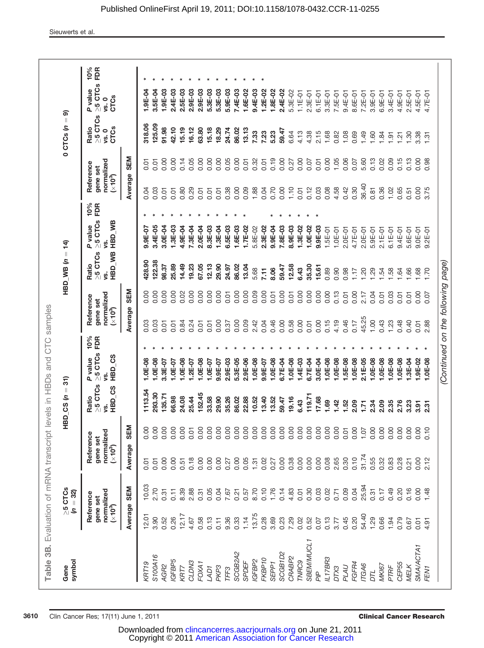| <b>SEM</b><br>2.70<br>8.39<br>0.05<br>0.11<br>2.88<br>0.04<br>0.31<br>0.31<br>7.67<br>0.21<br>normalized<br>(×10 <sup>3</sup> )<br>Reference<br>gene set<br>Average<br>12.17<br>12.01<br>3.90<br>0.26<br>0.52<br>0.58<br>0.13<br>9.36<br>0.33<br>4.67<br>0.11<br>SCGB <sub>2</sub> A <sub>2</sub><br>S100A16<br>IGFBP5<br>CLDN3<br>SPDEF<br><b>KRT19</b><br>FOXA1<br>AGR2<br>KRT7<br>PKP <sub>3</sub><br>LAD1<br>TFF3 | 10.03 | SEM<br>0.00<br>0.00<br>normalized<br>(×10 <sup>3</sup> )<br>Reference<br>gene set<br>Average<br>0.01<br>0.01 | $\geq$ 5 CTCs<br>Ratio | P value                          |     |                                                            |              |                                           |                                    |     |              |                                                |                                                |                                                      |     |
|-----------------------------------------------------------------------------------------------------------------------------------------------------------------------------------------------------------------------------------------------------------------------------------------------------------------------------------------------------------------------------------------------------------------------|-------|--------------------------------------------------------------------------------------------------------------|------------------------|----------------------------------|-----|------------------------------------------------------------|--------------|-------------------------------------------|------------------------------------|-----|--------------|------------------------------------------------|------------------------------------------------|------------------------------------------------------|-----|
|                                                                                                                                                                                                                                                                                                                                                                                                                       |       |                                                                                                              | HBD_CS<br>Ś.           | $\geq$ 5 CTCs FDR<br>HBD_CS<br>Ś | 10% | normalized<br>(×10 <sup>3</sup> )<br>Reference<br>gene set |              | HBD_WB HBD_WB<br>$>5$ CTCs<br>Ratio<br>Ś. | $\geq$ 5 CTCs FDR<br>P value<br>Ś. | 10% | gene set     | normalized<br>(×10 <sup>3</sup> )<br>Reference | $\geq$ 5 CTCs<br><b>CTCs</b><br>Ratio<br>vs. 0 | $\geq$ 5 CTCs FDR<br>P value<br><b>CTCs</b><br>vs. 0 | 10% |
|                                                                                                                                                                                                                                                                                                                                                                                                                       |       |                                                                                                              |                        |                                  |     | Average SEM                                                |              |                                           |                                    |     |              | Average SEM                                    |                                                |                                                      |     |
|                                                                                                                                                                                                                                                                                                                                                                                                                       |       |                                                                                                              | 1113.54                | $1.0E-08$                        |     | 0.03                                                       | 0.00         | 428.90                                    | $9.9E-07$                          |     | 0.04         | 0.01                                           | 318.06                                         | $1.9E - 04$                                          |     |
|                                                                                                                                                                                                                                                                                                                                                                                                                       |       |                                                                                                              | 293.30                 | $1.0E-08$                        |     | 0.03                                                       | 0.00         | 122.38                                    | 3.4E-05                            |     | 0.03         | 0.01                                           | 125.09                                         | 3.5E-04                                              |     |
|                                                                                                                                                                                                                                                                                                                                                                                                                       |       | 0.00<br>0.00                                                                                                 | 135.71                 | 3.3E-07                          |     | 0.01                                                       | 0.00         | 98.37                                     | 3.0E-04                            |     | 0.01         | 0.00                                           | 91.98                                          | 1.9E-03                                              |     |
|                                                                                                                                                                                                                                                                                                                                                                                                                       |       | 0.00<br>0.00<br>0.00<br>0.51                                                                                 | 66.98<br>24.08         | $1.0E-08$<br>$1.0E - 07$         |     | 0.84<br>0.01                                               | 0.00<br>0.02 | 14.49<br>25.89                            | $1.3E - 03$<br>4.9E-04             |     | 0.80<br>0.01 | 0.00<br>0.14                                   | 42.10<br>15.19                                 | 2.4E-03<br>2.5E-03                                   |     |
|                                                                                                                                                                                                                                                                                                                                                                                                                       |       | 0.01<br>0.18                                                                                                 | 25.44                  | $1.2E - 07$                      |     | 0.24                                                       | 0.00         | 19.23                                     | 7.3E-04                            |     | 0.29         | 0.05                                           | 16.12                                          | 2.9E-03                                              |     |
|                                                                                                                                                                                                                                                                                                                                                                                                                       |       | 0.00<br>0.00                                                                                                 | 152.45                 | $1.0E-08$                        |     | 0.01                                                       | 0.00         | 67.05                                     | 2.0E-04                            |     | 0.01         | 0.00                                           | 63.80                                          | 2.9E-03                                              |     |
|                                                                                                                                                                                                                                                                                                                                                                                                                       |       | 0.00<br>0.00                                                                                                 | 33.58                  | $1.0E-07$                        |     | 0.01                                                       | 0.00         | 12.13                                     | 8.3E-03                            |     | 0.01         | 0.00                                           | 15.18                                          | 5.3E-03                                              |     |
|                                                                                                                                                                                                                                                                                                                                                                                                                       |       | 0.00<br>0.00                                                                                                 | 29.90                  | 9.9E-07                          |     | 0.00                                                       | 0.00         | 29.90                                     | 1.3E-04                            |     | 0.01         | 0.00                                           | 18.29                                          | 5.3E-03                                              |     |
|                                                                                                                                                                                                                                                                                                                                                                                                                       |       | 0.00<br>0.27                                                                                                 | 35.26                  | 2.9E-03                          |     | 0.37                                                       | 0.01         | 24.97                                     | 6.5E-03                            |     | 0.38         | 0.05                                           | 24.74                                          | 5.9E-03                                              |     |
|                                                                                                                                                                                                                                                                                                                                                                                                                       |       | 0.00<br>0.00                                                                                                 | 86.02                  | 5.3E-05                          |     | 0.00                                                       | 0.00         | 86.02                                     | $1.6E - 03$                        |     | 0.00         | 0.00                                           | 86.02                                          | 7.4E-03                                              |     |
|                                                                                                                                                                                                                                                                                                                                                                                                                       | 0.57  | 0.00<br>0.05                                                                                                 | 22.88                  | $2.9E - 06$                      |     | 0.09                                                       | 0.00         | 13.04                                     | 1.7E-02                            |     | 0.09         | 0.01                                           | 13.13                                          | $1.6E - 02$                                          |     |
| 8.70<br>1.14<br>13.75<br>IGFBP2                                                                                                                                                                                                                                                                                                                                                                                       |       | 0.00<br>1.31                                                                                                 | 10.52                  | $1.0E-08$                        |     | 2.42                                                       | 0.09         | 5.68                                      | 5.8E-02                            |     | 1.88         | 0.32                                           | 7.33                                           | 9.4E-03                                              |     |
| 0.10<br>0.28<br>FKBP <sub>10</sub>                                                                                                                                                                                                                                                                                                                                                                                    |       | 0.00<br>0.02                                                                                                 | 13.40                  | $9.9E - 07$                      |     | 0.04                                                       | 0.00         | 7.11                                      | 2.3E-02                            |     | 0.04         | 0.01                                           | 7.23                                           | 1.2E-02                                              |     |
| 1.76<br>3.69<br>SEPP <sub>1</sub>                                                                                                                                                                                                                                                                                                                                                                                     |       | 0.00<br>0.27                                                                                                 | 13.52                  | 1.0E-08                          |     | 0.46                                                       | 0.01         | 8.06                                      | 9.9E-04                            |     | 0.70         | 0.19                                           | 5.23                                           | 1.8E-02                                              |     |
| 0.14<br>0.23<br>SCGB <sub>1D2</sub>                                                                                                                                                                                                                                                                                                                                                                                   |       | 0.00<br>0.00                                                                                                 | 59.47                  | 6.7E-04                          |     | 0.00                                                       | 0.00         | 59.47                                     | 7.8E-03                            |     | 0.00         | 0.00                                           | 59.47                                          | 2.4E-02                                              |     |
| 4.83<br>7.29<br>CRABP <sub>2</sub>                                                                                                                                                                                                                                                                                                                                                                                    |       | 0.00<br>0.38                                                                                                 | 19.16                  | I.0E-08                          |     | 0.58                                                       | 0.01         | 12.58                                     | 8.9E-03                            |     | 1.10         | 0.27                                           | 6.64                                           | 5.3E-02                                              |     |
| 0.01<br>0.02<br>TWRC9                                                                                                                                                                                                                                                                                                                                                                                                 |       | 0.00<br>0.00                                                                                                 | 6.43                   | 1.4E-03                          |     | 0.00                                                       | 0.00         | 6.43                                      | 1.3E-02                            |     | 0.01         | 0.00                                           | 4.13                                           | $1.1E - 01$                                          |     |
| 0.30<br>0.52<br>SBEM/MUCL1                                                                                                                                                                                                                                                                                                                                                                                            |       | 0.00<br>0.00                                                                                                 | 119.71                 | 6.7E-04                          |     | 0.01                                                       | 0.00         | 35.30                                     | $1.0E - 02$                        |     | 0.12         | 0.07                                           | 4.38                                           | $2.3E-01$                                            |     |
| 0.03<br>0.07<br>РļР                                                                                                                                                                                                                                                                                                                                                                                                   |       | 0.00<br>0.00                                                                                                 | 17.68                  | 3.0E-04                          |     | 0.00                                                       | 0.00         | 15.61                                     | 9.9E-03                            |     | 0.03         | 0.01                                           | 2.15                                           | $6.1E-01$                                            |     |
| 0.02<br>0.13<br>IL17BR3                                                                                                                                                                                                                                                                                                                                                                                               |       | 0.00<br>0.08                                                                                                 | 1.69                   | I.0E-08                          |     | 0.15                                                       | 0.00         | 0.89                                      | $1.5E - 01$                        |     | 0.08         | 0.00                                           | 1.68                                           | 3.3E-01                                              |     |
| 0.71<br>3.77<br>DTX3                                                                                                                                                                                                                                                                                                                                                                                                  |       | 0.00<br>2.65                                                                                                 | 1.42                   | $1.0E - 08$                      |     | 4.19                                                       | 0.13         | 0.90                                      | $1.0E-01$                          |     | 4.58         | 1.05                                           | 0.82                                           | 7.5E-01                                              |     |
| 0.09<br>0.45<br>PLAU                                                                                                                                                                                                                                                                                                                                                                                                  |       | 0.01<br>0.30                                                                                                 | 1.52                   | 1.5E-08                          |     | 0.46                                                       | 0.01         | 0.98                                      | $2.0E-01$                          |     | 0.42         | 0.06                                           | 1.08                                           | $9.4E-01$                                            |     |
| 0.04<br>0.20<br>FGFR4                                                                                                                                                                                                                                                                                                                                                                                                 |       | 0.00<br>0.10                                                                                                 | 2.09                   | $1.0E - 08$                      |     | 0.17                                                       | 0.00         | 1.17                                      | 4.7E-01                            |     | 0.30         | 0.07                                           | 0.69                                           | 8.6E-01                                              |     |
| 54.40<br><b>ITGA6</b>                                                                                                                                                                                                                                                                                                                                                                                                 | 25.94 | 1.07<br>31.74                                                                                                | 1.71                   | $2.1E-05$                        |     | 45.25                                                      | 2.17         | 1.20                                      | $2.0E-01$                          |     | 36.40        | 5.60                                           | 1.49                                           | $7.2E-01$                                            |     |
| 0.31<br>1.29<br>DΤL                                                                                                                                                                                                                                                                                                                                                                                                   |       | 0.00<br>0.55                                                                                                 | 2.34                   | 1.0E-08                          |     | 1.00                                                       | 0.04         | 1.29                                      | $5.9E-01$                          |     | 0.81         | 0.13                                           | 1.60                                           | $3.9E-01$                                            |     |
| 0.17<br>0.66<br><b>MKI67</b>                                                                                                                                                                                                                                                                                                                                                                                          |       | 0.00<br>0.32                                                                                                 | 2.09                   | $1.0E - 08$                      |     | 0.43                                                       | 0.01         | 1.54                                      | $2.1E-01$                          |     | 0.36         | 0.02                                           | 1.84                                           | $6.9E - 01$                                          |     |
| 0.49<br>1.94<br>PTRF                                                                                                                                                                                                                                                                                                                                                                                                  |       | 0.00<br>0.83                                                                                                 | 2.35                   | 1.0E-08                          |     | 1.23                                                       | 0.03         | 1.58                                      | $6.1E-01$                          |     | 1.02         | 0.09                                           | $\overline{9}$                                 | $3.4E - 01$                                          |     |
| 0.20<br>0.79<br>CEP55                                                                                                                                                                                                                                                                                                                                                                                                 |       | 0.00<br>0.28                                                                                                 | 2.76                   | 1.0E-08                          |     | 0.48                                                       | 0.01         | 1.64                                      | 9.4E-01                            |     | 0.65         | 0.15                                           | $\overline{21}$                                | 4.9E-01                                              |     |
| 0.16<br>0.67<br>MELK                                                                                                                                                                                                                                                                                                                                                                                                  |       | 0.00<br>0.21                                                                                                 | 3.23                   | <b>1.3E-04</b>                   |     | 0.40                                                       | 0.01         | 1.66                                      | 5.6E-01                            |     | 0.51         | 0.13                                           | 1.30                                           | $2.5E-01$                                            |     |
| 0.00<br>0.01<br>SMA/ACTA1                                                                                                                                                                                                                                                                                                                                                                                             |       | 0.00<br>0.00                                                                                                 | 3.91                   | 1.9E-02                          |     | 0.01                                                       | 0.00         | 1.68                                      | $9.0E-01$                          |     | 0.00         | 0.00                                           | 3.38                                           | 4.5E-01                                              |     |
| 1.48<br>4.91<br>FEN <sub>1</sub>                                                                                                                                                                                                                                                                                                                                                                                      |       | 0.10<br>2.12                                                                                                 | 2.31                   | $1.0E - 08$                      |     | 2.88                                                       | 0.07         | 1.70                                      | $9.2E-01$                          |     | 3.75         | 0.98                                           | 1.31                                           | $4.7E-01$                                            |     |

 Copyright © 2011 [American Association for Cancer Research](http://www.aacr.org/) Downloaded from [clincancerres.aacrjournals.org](http://clincancerres.aacrjournals.org/) on June 21, 2011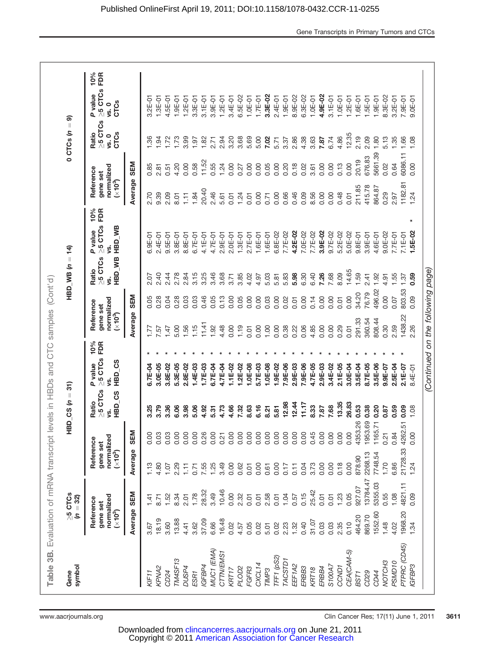| $0$ CTCs $(n = 9)$<br>HBD_WB $(n = 14)$         |            | 10%<br>FDR<br>$\geq$ 5 CTCs<br>P value<br><b>CTCs</b><br>vs.0<br>$\geq$ 5 CTCs<br>Ratio<br><b>CTCs</b><br>vs. 0<br>normalized<br>Reference<br>gene set<br>$(\times 10^3)$<br>10%<br>FDR<br>$\geq$ 5 CTCs<br>HBD_WB HBD_WB<br>P value<br>Ś. | <b>SEM</b><br>Average | $3.2E-01$<br>.36<br>0.85<br>2.70<br>$6.9E - 01$ | $1.3E-01$<br>4.5E-01<br>1.94<br>1.72<br>2.81<br>9.39<br>2.09<br>$2.4E-01$<br>$9.5E-01$ | $1.9E - 01$<br>1.73<br>4.20<br>0.51<br>8.01<br>3.8E-01 | $1.2E-01$<br>3.99<br>0.00<br>1.11<br>8.8E-01 | 3.3E-01<br>1.97<br>0.58<br>1.84<br>$6.7E-01$ | $3.1E-01$<br>1.82<br>11.52<br>20.40<br>4.1E-01 | 3.9E-01<br>2.71<br>0.55<br>2.46<br>4.7E-01 | $1.2E - 01$<br>2.94<br>1.24<br>5.61<br>$2.9E-01$ | 3.4E-01<br>3.20<br>0.00<br>0.01<br>$2.0E-01$ | $6.5E - 02$<br>3.68<br>0.27<br>1.24<br>$1.3E - 01$ | $1.0E-01$<br>5.69<br>0.00<br>0.01<br>$2.7E-01$ | $1.7E - 01$<br>5.00<br>0.00<br>0.00<br>$1.6E - 01$ | 3.3E-02<br>7.02<br>0.05<br>0.71<br>$1.6E - 01$ | $2.4E - 01$<br>5.71<br>0.00<br>0.00<br>6.8E-02 | $1.9E - 01$<br>3.37<br>0.20<br>0.66<br>7.7E-02 | 8.9E-02<br>2.86<br>0.18<br>0.46<br>4.2E-02 | $6.3E - 02$<br>4.38<br>0.02<br>0.09<br>7.0E-02 | $1.0E-01$<br>3.63<br>3.61<br>8.56<br>7.7E-02 | 4.9E-02<br>7.87<br>0.00<br>0.00<br>3.9E-02 | $3.1E-01$<br>6.74<br>0.00<br>0.00<br>9.7E-02 | $1.0E-01$<br>4.86<br>0.13<br>0.48<br>5.2E-02 | $1.2E-01$<br>12.35<br>0.00<br>0.01<br>$5.0E - 02$ | $1.6E-01$<br>2.19<br>20.19<br>211.85<br>$9.8E - 01$ | $1.5E-01$<br>2.09<br>676.83<br>415.78<br>$3.9E-01$ | $1.9E - 01$<br>1.80<br>5661.39<br>864.87<br>4.6E-01 | 8.3E-02<br>5.13<br>0.02<br>0.29<br>$9.0E - 02$ | $3.2E-01$<br>1.35<br>0.64<br>2.97<br>$7.7E-01$ | 7.9E-01<br>1.66<br>6086.11<br>182.81<br>$7.1E-01$ | $9.0E - 01$<br>1.08<br>0.00<br>1.24<br>$\ast$<br>$1.5E-02$ | (Continued on the following page) |
|-------------------------------------------------|------------|--------------------------------------------------------------------------------------------------------------------------------------------------------------------------------------------------------------------------------------------|-----------------------|-------------------------------------------------|----------------------------------------------------------------------------------------|--------------------------------------------------------|----------------------------------------------|----------------------------------------------|------------------------------------------------|--------------------------------------------|--------------------------------------------------|----------------------------------------------|----------------------------------------------------|------------------------------------------------|----------------------------------------------------|------------------------------------------------|------------------------------------------------|------------------------------------------------|--------------------------------------------|------------------------------------------------|----------------------------------------------|--------------------------------------------|----------------------------------------------|----------------------------------------------|---------------------------------------------------|-----------------------------------------------------|----------------------------------------------------|-----------------------------------------------------|------------------------------------------------|------------------------------------------------|---------------------------------------------------|------------------------------------------------------------|-----------------------------------|
|                                                 |            |                                                                                                                                                                                                                                            |                       |                                                 |                                                                                        |                                                        |                                              |                                              |                                                |                                            |                                                  |                                              |                                                    |                                                |                                                    |                                                |                                                |                                                |                                            |                                                |                                              |                                            |                                              |                                              |                                                   |                                                     |                                                    |                                                     |                                                |                                                |                                                   |                                                            |                                   |
|                                                 |            |                                                                                                                                                                                                                                            |                       |                                                 |                                                                                        |                                                        |                                              |                                              |                                                |                                            |                                                  |                                              |                                                    |                                                |                                                    |                                                |                                                |                                                |                                            |                                                |                                              |                                            |                                              |                                              |                                                   |                                                     |                                                    |                                                     |                                                |                                                |                                                   |                                                            |                                   |
|                                                 |            |                                                                                                                                                                                                                                            |                       |                                                 |                                                                                        |                                                        |                                              |                                              |                                                |                                            |                                                  |                                              |                                                    |                                                |                                                    |                                                |                                                |                                                |                                            |                                                |                                              |                                            |                                              |                                              |                                                   |                                                     |                                                    |                                                     |                                                |                                                |                                                   |                                                            |                                   |
|                                                 |            |                                                                                                                                                                                                                                            |                       |                                                 |                                                                                        |                                                        |                                              |                                              |                                                |                                            |                                                  |                                              |                                                    |                                                |                                                    |                                                |                                                |                                                |                                            |                                                |                                              |                                            |                                              |                                              |                                                   |                                                     |                                                    |                                                     |                                                |                                                |                                                   |                                                            |                                   |
|                                                 |            | $\geq$ 5 CTCs<br>Ratio<br>ys.                                                                                                                                                                                                              |                       | 2.07                                            | 2.40                                                                                   | 2.44<br>2.78                                           | 2.84                                         | 3.15                                         | 3.25                                           | 3.46                                       | 3.68                                             | 3.71                                         | 3.85                                               | 4.02                                           | 4.97                                               | 5.03                                           | 5.81                                           | 5.83                                           | 5.98                                       | 6.30                                           | 6.40                                         | 7.26                                       | 7.68                                         | 8.09                                         | 14.65                                             | 1.59                                                | 2.41                                               | 1.92                                                | 4.91                                           | 1.55                                           | 1.37                                              | 0.59                                                       |                                   |
| levels in HBDs and CTC samples (Cont'd)         |            |                                                                                                                                                                                                                                            | <b>SEM</b>            | 0.05                                            | 0.04<br>0.28                                                                           | 0.28                                                   | 0.03                                         | 0.03                                         | 0.46                                           | 0.05                                       | 0.13                                             | 0.00                                         | 0.05                                               | 0.00                                           | 0.00                                               | 0.03                                           | 0.00                                           | 0.02                                           | 0.01                                       | 0.00                                           | 0.14                                         | 0.00                                       | 0.00                                         | 0.01                                         | 0.00                                              | 34.20                                               | 76.79                                              | 496.02                                              | 0.00                                           | 0.07                                           | 803.53                                            | 0.09                                                       |                                   |
|                                                 |            | normalized<br>Reference<br>gene set<br>(x10 <sup>3</sup> )                                                                                                                                                                                 | Average               | 1.77                                            | 7.57                                                                                   | 5.00<br>1.47                                           | 1.56                                         | 1.15                                         | 11.41                                          | 1.92                                       | 4.48                                             | 0.00                                         | 1.19                                               | 0.01                                           | 0.00                                               | 1.00                                           | 0.00                                           | 0.38                                           | 0.22                                       | 0.06                                           | 4.85                                         | 0.00                                       | 0.00                                         | 0.29                                         | 0.01                                              | 291.33                                              | 360.54                                             | 808.44                                              | 0.30                                           | 2.59                                           | 1438.22                                           | 2.26                                                       |                                   |
|                                                 |            | 10%<br>FDR                                                                                                                                                                                                                                 |                       |                                                 |                                                                                        |                                                        |                                              |                                              |                                                |                                            |                                                  |                                              |                                                    |                                                |                                                    |                                                |                                                |                                                |                                            |                                                |                                              |                                            |                                              |                                              |                                                   |                                                     |                                                    |                                                     |                                                |                                                |                                                   |                                                            |                                   |
|                                                 |            | $\geq$ 5 CTCs<br>P value<br>Ś.                                                                                                                                                                                                             |                       | 6.7E-04                                         | 3.0E-05<br>3.8E-02                                                                     | 5.3E-05                                                | 2.8E-02                                      | $1.4E - 03$                                  | $1.7E-0.3$                                     | 6.7E-04                                    | 4.7E-04                                          | $1.1E-02$                                    | $1.2E - 02$                                        | 1.0E-08                                        | 5.7E-03                                            | $1.0E-08$                                      | 1.9E-02                                        | 7.9E-06                                        | 2.9E-03                                    | 7.9E-06                                        | 4.7E-05                                      | 2.9E-03                                    | 3.4E-02                                      | $2.1E - 05$                                  | 3.0E-04                                           | 3.5E-04                                             | 8.7E-05                                            | 3.5E-06                                             | $9.9E - 07$                                    | 2.5E-04                                        | $2.1E - 07$                                       | 8.4E-01                                                    |                                   |
| $HBD_CSS(n = 31)$                               |            | HBD_CS HBD_CS<br>$\geq$ 5 CTCs<br>Ratio<br>Ś.                                                                                                                                                                                              |                       | 3.25                                            | 3.79<br>3.36                                                                           | 6.06                                                   | 3.98                                         | 5.06                                         | 4.92                                           | 5.31                                       | 4.73                                             | 4.66                                         | 7.32                                               | 8.63                                           | 6.16                                               | 8.21                                           | 5.81                                           | 12.98                                          | 12.44                                      | 11.17                                          | 8.33                                         | 7.87                                       | 7.68                                         | 13.35                                        | 26.83                                             | 0.53                                                | 0.38                                               | 0.20                                                | 0.87                                           | 0.59                                           | 0.09                                              | 1.08                                                       |                                   |
|                                                 |            |                                                                                                                                                                                                                                            | SEM                   | 0.00                                            | 0.03<br>0.03                                                                           | 0.00                                                   | 0.00                                         | 0.00                                         | 0.26                                           | 0.00                                       | 0.21                                             | 0.00                                         | 0.00                                               | 0.00                                           | 0.00                                               | 0.00                                           | 0.00                                           | 0.00                                           | 0.00                                       | 0.00                                           | 0.45                                         | 0.00                                       | 0.00                                         | 0.00                                         | 0.00                                              | 4353.26                                             | 1953.69                                            | 1165.71                                             | 0.21                                           | 0.84                                           | 4262.51                                           | 0.00                                                       |                                   |
|                                                 |            | normalized<br>Reference<br>gene set<br>$(\times 10^3)$                                                                                                                                                                                     | Average               | 1.13                                            | 4.80                                                                                   | 2.29<br>1.07                                           | $1.11$                                       | 0.71                                         | 7.55                                           | 1.25                                       | 3.49                                             | 0.00                                         | 0.62                                               | 0.01                                           | 0.00                                               | 0.61                                           | 0.00                                           | 0.17                                           | 0.11                                       | 0.04                                           | 3.73                                         | 0.00                                       | 0.00                                         | 0.18                                         | 0.00                                              | 878.90                                              | 2268.13                                            | 7748.54                                             | 1.70                                           | 6.86                                           | 21728.33                                          | 1.24                                                       |                                   |
| $>5$ CTCs                                       |            |                                                                                                                                                                                                                                            | SEM                   | 1.41                                            | 8.71                                                                                   | 1.52<br>8.34                                           | 2.01                                         | 1.78                                         | 28.32                                          | 3.49                                       | 10.46                                            | 0.00                                         | 2.32                                               | 0.01                                           | 0.01                                               | 2.58                                           | 0.01                                           | 1.04                                           | 0.57                                       | 0.15                                           | 25.42                                        | 0.01                                       | 0.01                                         | 1.23                                         | 0.05                                              | 927.07                                              | 13784.47                                           | 5355.03                                             | 0.55                                           | 1.08                                           | 4821.11                                           | 0.09                                                       |                                   |
|                                                 | $(n = 32)$ | normalized<br>Reference<br>gene set<br>$(*103)$                                                                                                                                                                                            | Average               | 3.67                                            | 18.19<br>3.60                                                                          | 13.88                                                  | 4.41                                         | 3.62                                         | 37.09                                          | 6.66                                       | 16.48                                            | 0.02                                         | 4.57                                               | 0.05                                           | 0.02                                               | 5.01                                           | 0.02                                           | 2.23                                           | 1.32                                       | 0.40                                           | 31.07                                        | 0.03                                       | 0.03                                         | 2.35                                         | 0.10                                              | 464.20                                              | 869.70                                             | 1552.60                                             | 1.48                                           | 4.02                                           | 1968.20                                           | 1.34                                                       |                                   |
| Table 3B. Evaluation of mRNA transcript<br>Gene | symbol     |                                                                                                                                                                                                                                            |                       | KIF11                                           | KPNA2<br>CD24                                                                          | TM4SF13                                                | DUSP4                                        | ESR <sub>1</sub>                             | IGFBP4                                         | MUC1 (EMA)                                 | CTTN/EMS1                                        | KRT17                                        | PLOD <sub>2</sub>                                  | FGFR3                                          | CXCL14                                             | TIMP <sub>3</sub>                              | TFF1 (pS2)                                     | TACSTD1                                        | EEF <sub>1A2</sub>                         | ERBB3                                          | KRT <sub>18</sub>                            | ERBB4                                      | S100A7                                       | CCND <sub>1</sub>                            | CEA(CAM-5)                                        | BST <sub>1</sub>                                    | CD29                                               | CD44                                                | NOTCH <sub>3</sub>                             | PSMD <sub>10</sub>                             | PTPRC (CD45)                                      | IGFBP3                                                     |                                   |

 Copyright © 2011 [American Association for Cancer Research](http://www.aacr.org/) Downloaded from [clincancerres.aacrjournals.org](http://clincancerres.aacrjournals.org/) on June 21, 2011

Gene Transcripts in Primary Tumors and CTCs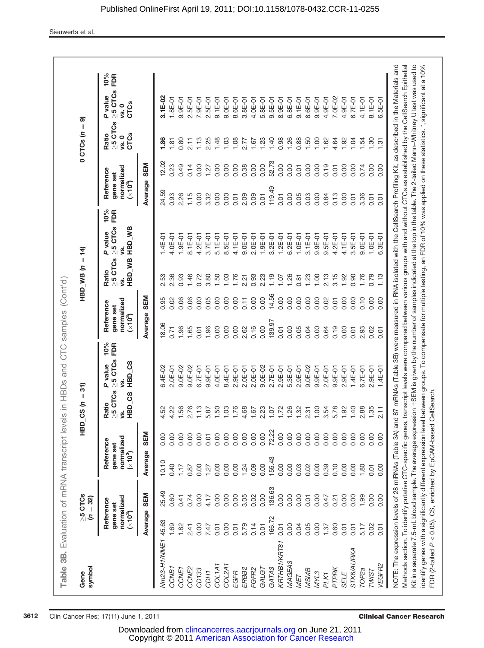| 0.01<br>0.01<br>$10%$<br>FDR<br>$\geq$ 5 CTCs<br>HBD WB HBD WB<br>P value<br>$1.9E-01$<br>4.2E-01<br>$3.2E-01$<br>$6.2E-01$<br>$1.0E-01$<br>$3.1E-01$<br>$9.9E-01$<br>$9.5E-01$<br>4.2E-01<br>4.0E-01<br>8.1E-01<br>3.7E-01<br>$5.1E-01$<br>8.5E-01<br>4.1E-01<br>$9.0E-01$<br>$2.0E-01$<br>$1.9E-01$<br>$1.2E-01$<br>$1.4E - 01$<br>Ś<br>$\geq$ 5 CTCs<br>Ratio<br>2.36<br>0.93<br>1.46<br>3.80<br>1.76<br>0.93<br>1.26<br>1.23<br>1.00<br>3.15<br>0.72<br>1.50<br>1.03<br>2.23<br>1.19<br>2.13<br>2.53<br>2.21<br>0.81<br>10.7<br>ys.<br>14.56<br>Average SEM<br>0.00<br>0.00<br>0.06<br>0.06<br>0.00<br>0.05<br>0.00<br>0.00<br>0.00<br>0.00<br>0.00<br>0.00<br>0.00<br>0.95<br>0.02<br>0.00<br>0.11<br>0.02<br>0.01<br>normalized<br>(×10 <sup>3</sup> )<br>Reference<br>gene set<br>139.97<br>18.06<br>0.16<br>0.00<br>1.96<br>1.65<br>1.96<br>0.00<br>2.62<br>0.00<br>0.04<br>0.71<br>0.00<br>0.00<br>0.05<br>0.00<br>0.19<br>0.01<br>0.64<br>0.01<br>10%<br>FDR<br>$\geq 5$ CTCs<br>HBD <sub>CS</sub><br>P value<br>$9.0E - 02$<br>$3.4E - 02$<br>$2.0E - 01$<br>9.0E-02<br>$9.0E - 02$<br>$2.9E-01$<br>$2.0E-01$<br>$9.0E - 02$<br>$2.7E-01$<br>$2.9E - 01$<br>$5.3E-01$<br>$2.9E-01$<br>$9.9E - 01$<br>$2.0E-01$<br>$6.7E-01$<br>$9.9E - 01$<br>4.0E-01<br>8.4E-01<br>$2.0E-01$<br>$9.9E-01$<br>$\geq 5$ CTCs<br>HBD_CS<br>Ratio<br>1.76<br>1.26<br>1.56<br>2.76<br>1.13<br>1.50<br>4.68<br>1.72<br>1.00<br>3.54<br>5.78<br>4.22<br>1.03<br>2.23<br>1.32<br>2.31<br>4.52<br>5.87<br>1.67<br>1.07<br>Ś<br>72.22<br>SEM<br>0.00<br>0.00<br>0.00<br>0.00<br>0.00<br>0.00<br>0.00<br>0.00<br>0.00<br>0.00<br>0.00<br>0.00<br>0.00<br>0.00<br>0.00<br>0.00<br>0.00<br>0.00<br>0.01<br>normalized<br>Reference<br>gene set<br>$(\times 10^3)$<br>Average<br>155.43<br>10.10<br>0.00<br>0.00<br>0.40<br>0.00<br>0.00<br>1.24<br>0.09<br>0.00<br>0.00<br>0.39<br>0.10<br>1.17<br>0.00<br>0.00<br>0.03<br>0.02<br>1.27<br>0.87<br>136.63<br>25.49<br>SEM<br>0.00<br>0.00<br>0.00<br>3.05<br>0.02<br>0.00<br>0.00<br>normalized<br>0.60<br>0.41<br>0.74<br>0.00<br>0.00<br>0.00<br>0.00<br>4.17<br>0.01<br>0.47<br>0.21<br>Reference<br>gene set<br>Average<br>$(\times 10^3)$<br>166.72<br>45.63<br>1.69<br>1.82<br>5.79<br>0.14<br>0.05<br>0.00<br>0.00<br>0.00<br>0.60<br>0.00<br>0.01<br>0.04<br>1.37<br>2.41<br>7.47<br>0.01<br>0.01<br>0.01<br>Nm23-H1/NME1<br>KRTHB1/KRT81<br>MAGEA3<br>COL <sub>1</sub> A <sub>1</sub><br>COL2A1<br>GATA3<br>CCNE2<br>ERBB2<br>FGFR2<br>CCNB <sub>1</sub><br>CCNE <sub>1</sub><br>CD133<br>GALGT<br><b>MSMB</b><br>PTPRK<br>CDH1<br><b>EGFR</b><br>MYL3<br>PLK1<br>MET |      |      | $(n = 32)$ |      |      |      |             |      |      |      |         |                 |                                     |                                                |                                                  |                   |
|---------------------------------------------------------------------------------------------------------------------------------------------------------------------------------------------------------------------------------------------------------------------------------------------------------------------------------------------------------------------------------------------------------------------------------------------------------------------------------------------------------------------------------------------------------------------------------------------------------------------------------------------------------------------------------------------------------------------------------------------------------------------------------------------------------------------------------------------------------------------------------------------------------------------------------------------------------------------------------------------------------------------------------------------------------------------------------------------------------------------------------------------------------------------------------------------------------------------------------------------------------------------------------------------------------------------------------------------------------------------------------------------------------------------------------------------------------------------------------------------------------------------------------------------------------------------------------------------------------------------------------------------------------------------------------------------------------------------------------------------------------------------------------------------------------------------------------------------------------------------------------------------------------------------------------------------------------------------------------------------------------------------------------------------------------------------------------------------------------------------------------------------------------------------------------------------------------------------------------------------------------------------------------------------------------------------------------------------------------------------------------------------------------------------------------------------------------------------------------------------------------------------------------------------------------------------------------------------------------------|------|------|------------|------|------|------|-------------|------|------|------|---------|-----------------|-------------------------------------|------------------------------------------------|--------------------------------------------------|-------------------|
|                                                                                                                                                                                                                                                                                                                                                                                                                                                                                                                                                                                                                                                                                                                                                                                                                                                                                                                                                                                                                                                                                                                                                                                                                                                                                                                                                                                                                                                                                                                                                                                                                                                                                                                                                                                                                                                                                                                                                                                                                                                                                                                                                                                                                                                                                                                                                                                                                                                                                                                                                                                                               |      |      |            |      |      |      |             |      |      |      |         | $(\times 10^3)$ | normalized<br>Reference<br>gene set | $\geq$ 5 CTCs<br><b>CTCs</b><br>Ratio<br>vs. 0 | $\geq$ 5 CTCs<br>P value<br><b>CTCs</b><br>vs. 0 | 10%<br><b>FDR</b> |
|                                                                                                                                                                                                                                                                                                                                                                                                                                                                                                                                                                                                                                                                                                                                                                                                                                                                                                                                                                                                                                                                                                                                                                                                                                                                                                                                                                                                                                                                                                                                                                                                                                                                                                                                                                                                                                                                                                                                                                                                                                                                                                                                                                                                                                                                                                                                                                                                                                                                                                                                                                                                               |      |      |            |      |      |      |             |      |      |      |         |                 | Average SEM                         |                                                |                                                  |                   |
|                                                                                                                                                                                                                                                                                                                                                                                                                                                                                                                                                                                                                                                                                                                                                                                                                                                                                                                                                                                                                                                                                                                                                                                                                                                                                                                                                                                                                                                                                                                                                                                                                                                                                                                                                                                                                                                                                                                                                                                                                                                                                                                                                                                                                                                                                                                                                                                                                                                                                                                                                                                                               |      |      |            |      |      |      |             |      |      |      |         | 24.59           | 12.02                               | 1.86                                           | 3.1E-02                                          |                   |
|                                                                                                                                                                                                                                                                                                                                                                                                                                                                                                                                                                                                                                                                                                                                                                                                                                                                                                                                                                                                                                                                                                                                                                                                                                                                                                                                                                                                                                                                                                                                                                                                                                                                                                                                                                                                                                                                                                                                                                                                                                                                                                                                                                                                                                                                                                                                                                                                                                                                                                                                                                                                               |      |      |            |      |      |      |             |      |      |      |         | 0.93            | 0.23                                | 1.81                                           | $1.8E - 01$                                      |                   |
|                                                                                                                                                                                                                                                                                                                                                                                                                                                                                                                                                                                                                                                                                                                                                                                                                                                                                                                                                                                                                                                                                                                                                                                                                                                                                                                                                                                                                                                                                                                                                                                                                                                                                                                                                                                                                                                                                                                                                                                                                                                                                                                                                                                                                                                                                                                                                                                                                                                                                                                                                                                                               |      |      |            |      |      |      |             |      |      |      |         | 2.26            | 0.49                                | 0.80                                           | $9.9E-01$                                        |                   |
|                                                                                                                                                                                                                                                                                                                                                                                                                                                                                                                                                                                                                                                                                                                                                                                                                                                                                                                                                                                                                                                                                                                                                                                                                                                                                                                                                                                                                                                                                                                                                                                                                                                                                                                                                                                                                                                                                                                                                                                                                                                                                                                                                                                                                                                                                                                                                                                                                                                                                                                                                                                                               |      |      |            |      |      |      |             |      |      |      |         | 1.15            | 0.14                                | 2.11                                           | $2.5E - 01$                                      |                   |
|                                                                                                                                                                                                                                                                                                                                                                                                                                                                                                                                                                                                                                                                                                                                                                                                                                                                                                                                                                                                                                                                                                                                                                                                                                                                                                                                                                                                                                                                                                                                                                                                                                                                                                                                                                                                                                                                                                                                                                                                                                                                                                                                                                                                                                                                                                                                                                                                                                                                                                                                                                                                               |      |      |            |      |      |      |             |      |      |      |         | 0.00            | 0.00                                | 1.13                                           | 7.9E-01                                          |                   |
|                                                                                                                                                                                                                                                                                                                                                                                                                                                                                                                                                                                                                                                                                                                                                                                                                                                                                                                                                                                                                                                                                                                                                                                                                                                                                                                                                                                                                                                                                                                                                                                                                                                                                                                                                                                                                                                                                                                                                                                                                                                                                                                                                                                                                                                                                                                                                                                                                                                                                                                                                                                                               |      |      |            |      |      |      |             |      |      |      |         | 3.32            | 1.27                                | 2.25                                           | $2.5E-01$                                        |                   |
|                                                                                                                                                                                                                                                                                                                                                                                                                                                                                                                                                                                                                                                                                                                                                                                                                                                                                                                                                                                                                                                                                                                                                                                                                                                                                                                                                                                                                                                                                                                                                                                                                                                                                                                                                                                                                                                                                                                                                                                                                                                                                                                                                                                                                                                                                                                                                                                                                                                                                                                                                                                                               |      |      |            |      |      |      |             |      |      |      |         | 0.00            | 0.00                                | 1.48                                           | $9.1E - 01$                                      |                   |
|                                                                                                                                                                                                                                                                                                                                                                                                                                                                                                                                                                                                                                                                                                                                                                                                                                                                                                                                                                                                                                                                                                                                                                                                                                                                                                                                                                                                                                                                                                                                                                                                                                                                                                                                                                                                                                                                                                                                                                                                                                                                                                                                                                                                                                                                                                                                                                                                                                                                                                                                                                                                               |      |      |            |      |      |      |             |      |      |      |         | 0.00            | 0.00                                | 1.03                                           | $9.0E-01$                                        |                   |
|                                                                                                                                                                                                                                                                                                                                                                                                                                                                                                                                                                                                                                                                                                                                                                                                                                                                                                                                                                                                                                                                                                                                                                                                                                                                                                                                                                                                                                                                                                                                                                                                                                                                                                                                                                                                                                                                                                                                                                                                                                                                                                                                                                                                                                                                                                                                                                                                                                                                                                                                                                                                               |      |      |            |      |      |      |             |      |      |      |         | 0.01            | 0.00                                | 1.08                                           | 8.6E-01                                          |                   |
|                                                                                                                                                                                                                                                                                                                                                                                                                                                                                                                                                                                                                                                                                                                                                                                                                                                                                                                                                                                                                                                                                                                                                                                                                                                                                                                                                                                                                                                                                                                                                                                                                                                                                                                                                                                                                                                                                                                                                                                                                                                                                                                                                                                                                                                                                                                                                                                                                                                                                                                                                                                                               |      |      |            |      |      |      |             |      |      |      |         | 2.09            | 0.38                                | 2.77                                           | 3.8E-01                                          |                   |
|                                                                                                                                                                                                                                                                                                                                                                                                                                                                                                                                                                                                                                                                                                                                                                                                                                                                                                                                                                                                                                                                                                                                                                                                                                                                                                                                                                                                                                                                                                                                                                                                                                                                                                                                                                                                                                                                                                                                                                                                                                                                                                                                                                                                                                                                                                                                                                                                                                                                                                                                                                                                               |      |      |            |      |      |      |             |      |      |      |         | 0.09            | 0.00                                | 1.67                                           | 4.0E-01                                          |                   |
|                                                                                                                                                                                                                                                                                                                                                                                                                                                                                                                                                                                                                                                                                                                                                                                                                                                                                                                                                                                                                                                                                                                                                                                                                                                                                                                                                                                                                                                                                                                                                                                                                                                                                                                                                                                                                                                                                                                                                                                                                                                                                                                                                                                                                                                                                                                                                                                                                                                                                                                                                                                                               |      |      |            |      |      |      |             |      |      |      |         |                 | 0.00                                | 1.23                                           | 5.8E-01                                          |                   |
|                                                                                                                                                                                                                                                                                                                                                                                                                                                                                                                                                                                                                                                                                                                                                                                                                                                                                                                                                                                                                                                                                                                                                                                                                                                                                                                                                                                                                                                                                                                                                                                                                                                                                                                                                                                                                                                                                                                                                                                                                                                                                                                                                                                                                                                                                                                                                                                                                                                                                                                                                                                                               |      |      |            |      |      |      |             |      |      |      |         | 119.49          | 52.73<br>0.00                       | 1.40<br>0.98                                   | $9.5E - 01$<br>$8.9E-01$                         |                   |
|                                                                                                                                                                                                                                                                                                                                                                                                                                                                                                                                                                                                                                                                                                                                                                                                                                                                                                                                                                                                                                                                                                                                                                                                                                                                                                                                                                                                                                                                                                                                                                                                                                                                                                                                                                                                                                                                                                                                                                                                                                                                                                                                                                                                                                                                                                                                                                                                                                                                                                                                                                                                               |      |      |            |      |      |      |             |      |      |      |         | 0.00            | 0.00                                | 1.26                                           | 6.8E-01                                          |                   |
|                                                                                                                                                                                                                                                                                                                                                                                                                                                                                                                                                                                                                                                                                                                                                                                                                                                                                                                                                                                                                                                                                                                                                                                                                                                                                                                                                                                                                                                                                                                                                                                                                                                                                                                                                                                                                                                                                                                                                                                                                                                                                                                                                                                                                                                                                                                                                                                                                                                                                                                                                                                                               |      |      |            |      |      |      |             |      |      |      |         | 0.05            | 0.01                                | 0.88                                           | $9.1E-01$                                        |                   |
|                                                                                                                                                                                                                                                                                                                                                                                                                                                                                                                                                                                                                                                                                                                                                                                                                                                                                                                                                                                                                                                                                                                                                                                                                                                                                                                                                                                                                                                                                                                                                                                                                                                                                                                                                                                                                                                                                                                                                                                                                                                                                                                                                                                                                                                                                                                                                                                                                                                                                                                                                                                                               |      |      |            |      |      |      |             |      |      |      |         | 0.03            | 0.00                                | 1.50                                           | 8.6E-01                                          |                   |
|                                                                                                                                                                                                                                                                                                                                                                                                                                                                                                                                                                                                                                                                                                                                                                                                                                                                                                                                                                                                                                                                                                                                                                                                                                                                                                                                                                                                                                                                                                                                                                                                                                                                                                                                                                                                                                                                                                                                                                                                                                                                                                                                                                                                                                                                                                                                                                                                                                                                                                                                                                                                               |      |      |            |      |      |      |             |      |      |      |         | 0.00            | 0.00                                | 1,00                                           | $9.9E - 01$                                      |                   |
|                                                                                                                                                                                                                                                                                                                                                                                                                                                                                                                                                                                                                                                                                                                                                                                                                                                                                                                                                                                                                                                                                                                                                                                                                                                                                                                                                                                                                                                                                                                                                                                                                                                                                                                                                                                                                                                                                                                                                                                                                                                                                                                                                                                                                                                                                                                                                                                                                                                                                                                                                                                                               |      |      |            |      |      |      |             |      |      |      |         | 0.84            | 0.19                                | 1.62                                           | 4.9E-01                                          |                   |
|                                                                                                                                                                                                                                                                                                                                                                                                                                                                                                                                                                                                                                                                                                                                                                                                                                                                                                                                                                                                                                                                                                                                                                                                                                                                                                                                                                                                                                                                                                                                                                                                                                                                                                                                                                                                                                                                                                                                                                                                                                                                                                                                                                                                                                                                                                                                                                                                                                                                                                                                                                                                               |      |      |            |      |      |      |             |      |      |      |         | 0.13            | 0.01                                | 4.64                                           | 7.0E-02                                          |                   |
|                                                                                                                                                                                                                                                                                                                                                                                                                                                                                                                                                                                                                                                                                                                                                                                                                                                                                                                                                                                                                                                                                                                                                                                                                                                                                                                                                                                                                                                                                                                                                                                                                                                                                                                                                                                                                                                                                                                                                                                                                                                                                                                                                                                                                                                                                                                                                                                                                                                                                                                                                                                                               | SELE | 0.01 | 0.00       | 0.00 | 0.00 | 1.92 | $2.9E - 01$ | 0.00 | 0.00 | 1.92 | 4.1E-01 | 0.00            | 0.00                                | 1.92                                           | 4.9E-01                                          |                   |
| 3.5E-01<br>0.90<br>0.00<br>0.01<br>$1.4E-01$<br>1.40<br>0.00<br>0.00<br>0.00<br>0.01<br><b>STK6/AURKA</b>                                                                                                                                                                                                                                                                                                                                                                                                                                                                                                                                                                                                                                                                                                                                                                                                                                                                                                                                                                                                                                                                                                                                                                                                                                                                                                                                                                                                                                                                                                                                                                                                                                                                                                                                                                                                                                                                                                                                                                                                                                                                                                                                                                                                                                                                                                                                                                                                                                                                                                     |      |      |            |      |      |      |             |      |      |      |         | 0.01            | 0.00                                | 1.04                                           | $6.7E-01$                                        |                   |
| $9.0E-01$<br>1.76<br>0.10<br>2.93<br>$6.7E-01$<br>2.88<br>0.00<br>1.80<br>1.99<br>5.17<br>TOP <sub>2a</sub>                                                                                                                                                                                                                                                                                                                                                                                                                                                                                                                                                                                                                                                                                                                                                                                                                                                                                                                                                                                                                                                                                                                                                                                                                                                                                                                                                                                                                                                                                                                                                                                                                                                                                                                                                                                                                                                                                                                                                                                                                                                                                                                                                                                                                                                                                                                                                                                                                                                                                                   |      |      |            |      |      |      |             |      |      |      |         | 3.36            | 0.74                                | 1.54                                           | 4.1E-01                                          |                   |
| $1.0E-01$<br>0.79<br>0.00<br>0.02<br>$2.9E-01$<br>1.35<br>0.00<br>0.01<br>0.00<br>0.02<br><b>TWIST</b>                                                                                                                                                                                                                                                                                                                                                                                                                                                                                                                                                                                                                                                                                                                                                                                                                                                                                                                                                                                                                                                                                                                                                                                                                                                                                                                                                                                                                                                                                                                                                                                                                                                                                                                                                                                                                                                                                                                                                                                                                                                                                                                                                                                                                                                                                                                                                                                                                                                                                                        |      |      |            |      |      |      |             |      |      |      |         | 0.01            | 0.00                                | 1.30                                           | 8.1E-01                                          |                   |
| 6.3E-01<br>1.13<br>0.00<br>0.01<br>$1.4E-01$<br>2.11<br>0.00<br>0.00<br>0.00<br>0.01<br>VEGFR2                                                                                                                                                                                                                                                                                                                                                                                                                                                                                                                                                                                                                                                                                                                                                                                                                                                                                                                                                                                                                                                                                                                                                                                                                                                                                                                                                                                                                                                                                                                                                                                                                                                                                                                                                                                                                                                                                                                                                                                                                                                                                                                                                                                                                                                                                                                                                                                                                                                                                                                |      |      |            |      |      |      |             |      |      |      |         | 0.01            | 0.00                                | 1.31                                           | $6.5E-01$                                        |                   |

Published OnlineFirst April 19, 2011; DOI:10.1158/1078-0432.CCR-11-0255

 Copyright © 2011 [American Association for Cancer Research](http://www.aacr.org/) Downloaded from [clincancerres.aacrjournals.org](http://clincancerres.aacrjournals.org/) on June 21, 2011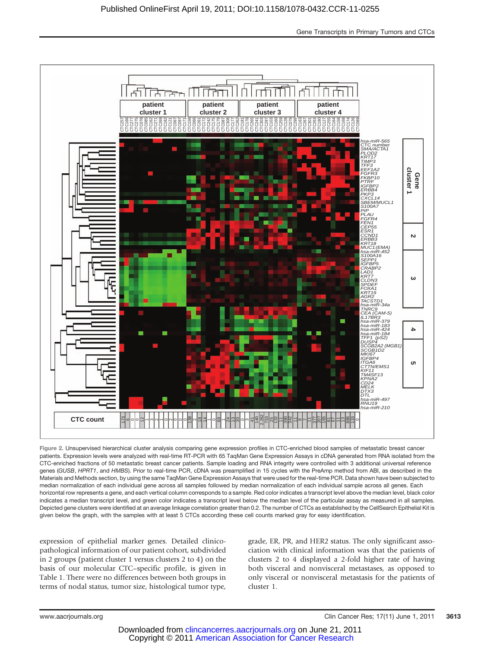

Figure 2. Unsupervised hierarchical cluster analysis comparing gene expression profiles in CTC-enriched blood samples of metastatic breast cancer patients. Expression levels were analyzed with real-time RT-PCR with 65 TaqMan Gene Expression Assays in cDNA generated from RNA isolated from the CTC-enriched fractions of 50 metastatic breast cancer patients. Sample loading and RNA integrity were controlled with 3 additional universal reference genes (GUSB, HPRT1, and HMBS). Prior to real-time PCR, cDNA was preamplified in 15 cycles with the PreAmp method from ABI, as described in the Materials and Methods section, by using the same TaqMan Gene Expression Assays that were used for the real-time PCR. Data shown have been subjected to median normalization of each individual gene across all samples followed by median normalization of each individual sample across all genes. Each horizontal row represents a gene, and each vertical column corresponds to a sample. Red color indicates a transcript level above the median level, black color indicates a median transcript level, and green color indicates a transcript level below the median level of the particular assay as measured in all samples. Depicted gene clusters were identified at an average linkage correlation greater than 0.2. The number of CTCs as established by the CellSearch Epithelial Kit is given below the graph, with the samples with at least 5 CTCs according these cell counts marked gray for easy identification.

expression of epithelial marker genes. Detailed clinicopathological information of our patient cohort, subdivided in 2 groups (patient cluster 1 versus clusters 2 to 4) on the basis of our molecular CTC–specific profile, is given in Table 1. There were no differences between both groups in terms of nodal status, tumor size, histological tumor type,

grade, ER, PR, and HER2 status. The only significant association with clinical information was that the patients of clusters 2 to 4 displayed a 2-fold higher rate of having both visceral and nonvisceral metastases, as opposed to only visceral or nonvisceral metastasis for the patients of cluster 1.

www.aacrjournals.org Clin Cancer Res; 17(11) June 1, 2011 3613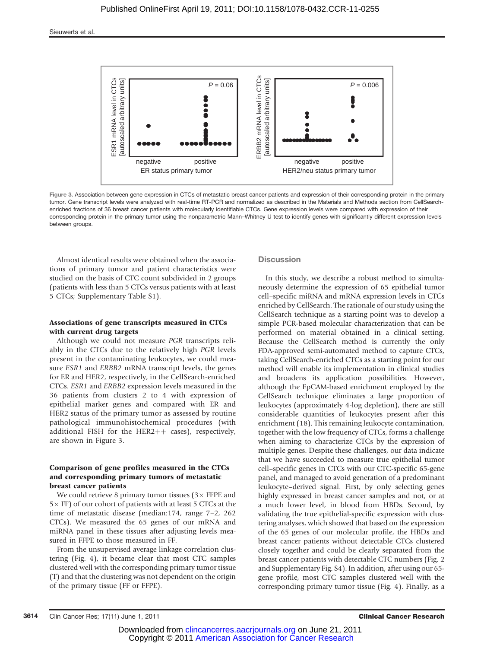

Figure 3. Association between gene expression in CTCs of metastatic breast cancer patients and expression of their corresponding protein in the primary tumor. Gene transcript levels were analyzed with real-time RT-PCR and normalized as described in the Materials and Methods section from CellSearchenriched fractions of 36 breast cancer patients with molecularly identifiable CTCs. Gene expression levels were compared with expression of their corresponding protein in the primary tumor using the nonparametric Mann–Whitney U test to identify genes with significantly different expression levels between groups.

Almost identical results were obtained when the associations of primary tumor and patient characteristics were studied on the basis of CTC count subdivided in 2 groups (patients with less than 5 CTCs versus patients with at least 5 CTCs; Supplementary Table S1).

### Associations of gene transcripts measured in CTCs with current drug targets

Although we could not measure PGR transcripts reliably in the CTCs due to the relatively high PGR levels present in the contaminating leukocytes, we could measure ESR1 and ERBB2 mRNA transcript levels, the genes for ER and HER2, respectively, in the CellSearch-enriched CTCs. ESR1 and ERBB2 expression levels measured in the 36 patients from clusters 2 to 4 with expression of epithelial marker genes and compared with ER and HER2 status of the primary tumor as assessed by routine pathological immunohistochemical procedures (with additional FISH for the HER2++ cases), respectively, are shown in Figure 3.

#### Comparison of gene profiles measured in the CTCs and corresponding primary tumors of metastatic breast cancer patients

We could retrieve 8 primary tumor tissues  $(3 \times$  FFPE and  $5\times$  FF) of our cohort of patients with at least 5 CTCs at the time of metastatic disease (median:174, range 7–2, 262 CTCs). We measured the 65 genes of our mRNA and miRNA panel in these tissues after adjusting levels measured in FFPE to those measured in FF.

From the unsupervised average linkage correlation clustering (Fig. 4), it became clear that most CTC samples clustered well with the corresponding primary tumor tissue (T) and that the clustering was not dependent on the origin of the primary tissue (FF or FFPE).

#### **Discussion**

In this study, we describe a robust method to simultaneously determine the expression of 65 epithelial tumor cell–specific miRNA and mRNA expression levels in CTCs enriched by CellSearch. The rationale of our study using the CellSearch technique as a starting point was to develop a simple PCR-based molecular characterization that can be performed on material obtained in a clinical setting. Because the CellSearch method is currently the only FDA-approved semi-automated method to capture CTCs, taking CellSearch-enriched CTCs as a starting point for our method will enable its implementation in clinical studies and broadens its application possibilities. However, although the EpCAM-based enrichment employed by the CellSearch technique eliminates a large proportion of leukocytes (approximately 4-log depletion), there are still considerable quantities of leukocytes present after this enrichment (18). This remaining leukocyte contamination, together with the low frequency of CTCs, forms a challenge when aiming to characterize CTCs by the expression of multiple genes. Despite these challenges, our data indicate that we have succeeded to measure true epithelial tumor cell–specific genes in CTCs with our CTC-specific 65-gene panel, and managed to avoid generation of a predominant leukocyte–derived signal. First, by only selecting genes highly expressed in breast cancer samples and not, or at a much lower level, in blood from HBDs. Second, by validating the true epithelial-specific expression with clustering analyses, which showed that based on the expression of the 65 genes of our molecular profile, the HBDs and breast cancer patients without detectable CTCs clustered closely together and could be clearly separated from the breast cancer patients with detectable CTC numbers (Fig. 2 and Supplementary Fig. S4). In addition, after using our 65 gene profile, most CTC samples clustered well with the corresponding primary tumor tissue (Fig. 4). Finally, as a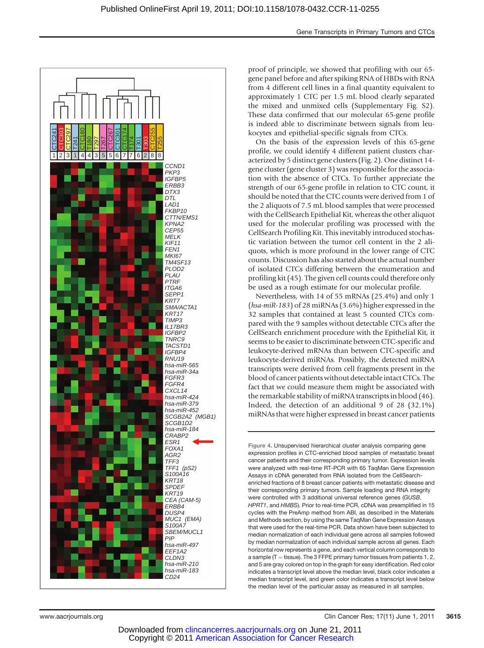

proof of principle, we showed that profiling with our 65 gene panel before and after spiking RNA of HBDs with RNA from 4 different cell lines in a final quantity equivalent to approximately 1 CTC per 1.5 mL blood clearly separated the mixed and unmixed cells (Supplementary Fig. S2). These data confirmed that our molecular 65-gene profile is indeed able to discriminate between signals from leukocytes and epithelial-specific signals from CTCs.

On the basis of the expression levels of this 65-gene profile, we could identify 4 different patient clusters characterized by 5 distinct gene clusters (Fig. 2). One distinct 14 gene cluster (gene cluster 3) was responsible for the association with the absence of CTCs. To further appreciate the strength of our 65-gene profile in relation to CTC count, it should be noted that the CTC counts were derived from 1 of the 2 aliquots of 7.5 mL blood samples that were processed with the CellSearch Epithelial Kit, whereas the other aliquot used for the molecular profiling was processed with the CellSearch Profiling Kit. This inevitably introduced stochastic variation between the tumor cell content in the 2 aliquots, which is more profound in the lower range of CTC counts. Discussion has also started about the actual number of isolated CTCs differing between the enumeration and profiling kit (45). The given cell counts could therefore only be used as a rough estimate for our molecular profile.

Nevertheless, with 14 of 55 mRNAs (25.4%) and only 1 (hsa-miR-183) of 28 miRNAs (3.6%) higher expressed in the 32 samples that contained at least 5 counted CTCs compared with the 9 samples without detectable CTCs after the CellSearch enrichment procedure with the Epithelial Kit, it seems to be easier to discriminate between CTC-specific and leukocyte-derived mRNAs than between CTC-specific and leukocyte-derived miRNAs. Possibly, the detected miRNA transcripts were derived from cell fragments present in the blood of cancer patients without detectable intact CTCs. The fact that we could measure them might be associated with the remarkable stability of miRNA transcripts in blood (46). Indeed, the detection of an additional 9 of 28 (32.1%) miRNAs that were higher expressed in breast cancer patients

Figure 4. Unsupervised hierarchical cluster analysis comparing gene expression profiles in CTC-enriched blood samples of metastatic breast cancer patients and their corresponding primary tumor. Expression levels were analyzed with real-time RT-PCR with 65 TaqMan Gene Expression Assays in cDNA generated from RNA isolated from the CellSearchenriched fractions of 8 breast cancer patients with metastatic disease and their corresponding primary tumors. Sample loading and RNA integrity were controlled with 3 additional universal reference genes (GUSB, HPRT1, and HMBS). Prior to real-time PCR, cDNA was preamplified in 15 cycles with the PreAmp method from ABI, as described in the Materials and Methods section, by using the same TaqMan Gene Expression Assays that were used for the real-time PCR. Data shown have been subjected to median normalization of each individual gene across all samples followed by median normalization of each individual sample across all genes. Each horizontal row represents a gene, and each vertical column corresponds to a sample ( $T =$  tissue). The 3 FFPE primary tumor tissues from patients 1, 2, and 5 are gray colored on top in the graph for easy identification. Red color indicates a transcript level above the median level, black color indicates a median transcript level, and green color indicates a transcript level below the median level of the particular assay as measured in all samples.

www.aacrjournals.org Clin Cancer Res; 17(11) June 1, 2011 3615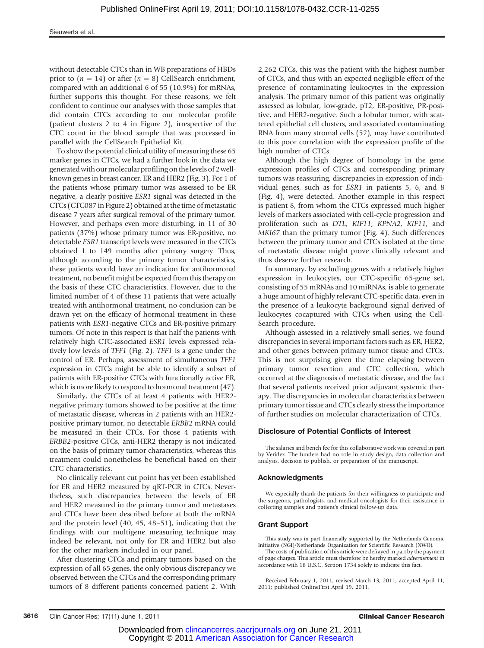without detectable CTCs than in WB preparations of HBDs prior to  $(n = 14)$  or after  $(n = 8)$  CellSearch enrichment, compared with an additional 6 of 55 (10.9%) for mRNAs, further supports this thought. For these reasons, we felt confident to continue our analyses with those samples that did contain CTCs according to our molecular profile (patient clusters 2 to 4 in Figure 2), irrespective of the CTC count in the blood sample that was processed in parallel with the CellSearch Epithelial Kit.

To show the potential clinical utility of measuring these 65 marker genes in CTCs, we had a further look in the data we generated with ourmolecular profiling on thelevels of 2 wellknown genes in breast cancer, ER and HER2 (Fig. 3). For 1 of the patients whose primary tumor was assessed to be ER negative, a clearly positive ESR1 signal was detected in the CTCs (CTC087 in Figure 2) obtained at the time of metastatic disease 7 years after surgical removal of the primary tumor. However, and perhaps even more disturbing, in 11 of 30 patients (37%) whose primary tumor was ER-positive, no detectable ESR1 transcript levels were measured in the CTCs obtained 1 to 149 months after primary surgery. Thus, although according to the primary tumor characteristics, these patients would have an indication for antihormonal treatment, no benefit might be expected from this therapy on the basis of these CTC characteristics. However, due to the limited number of 4 of these 11 patients that were actually treated with antihormonal treatment, no conclusion can be drawn yet on the efficacy of hormonal treatment in these patients with ESR1-negative CTCs and ER-positive primary tumors. Of note in this respect is that half the patients with relatively high CTC-associated ESR1 levels expressed relatively low levels of TFF1 (Fig. 2). TFF1 is a gene under the control of ER. Perhaps, assessment of simultaneous TFF1 expression in CTCs might be able to identify a subset of patients with ER-positive CTCs with functionally active ER, which is more likely to respond to hormonal treatment (47).

Similarly, the CTCs of at least 4 patients with HER2 negative primary tumors showed to be positive at the time of metastatic disease, whereas in 2 patients with an HER2 positive primary tumor, no detectable ERBB2 mRNA could be measured in their CTCs. For those 4 patients with ERBB2-positive CTCs, anti-HER2 therapy is not indicated on the basis of primary tumor characteristics, whereas this treatment could nonetheless be beneficial based on their CTC characteristics.

No clinically relevant cut point has yet been established for ER and HER2 measured by qRT-PCR in CTCs. Nevertheless, such discrepancies between the levels of ER and HER2 measured in the primary tumor and metastases and CTCs have been described before at both the mRNA and the protein level (40, 45, 48–51), indicating that the findings with our multigene measuring technique may indeed be relevant, not only for ER and HER2 but also for the other markers included in our panel.

After clustering CTCs and primary tumors based on the expression of all 65 genes, the only obvious discrepancy we observed between the CTCs and the corresponding primary tumors of 8 different patients concerned patient 2. With

2,262 CTCs, this was the patient with the highest number of CTCs, and thus with an expected negligible effect of the presence of contaminating leukocytes in the expression analysis. The primary tumor of this patient was originally assessed as lobular, low-grade, pT2, ER-positive, PR-positive, and HER2-negative. Such a lobular tumor, with scattered epithelial cell clusters, and associated contaminating RNA from many stromal cells (52), may have contributed to this poor correlation with the expression profile of the high number of CTCs.

Although the high degree of homology in the gene expression profiles of CTCs and corresponding primary tumors was reassuring, discrepancies in expression of individual genes, such as for ESR1 in patients 5, 6, and 8 (Fig. 4), were detected. Another example in this respect is patient 8, from whom the CTCs expressed much higher levels of markers associated with cell-cycle progression and proliferation such as DTL, KIF11, KPNA2, KIF11, and MKI67 than the primary tumor (Fig. 4). Such differences between the primary tumor and CTCs isolated at the time of metastatic disease might prove clinically relevant and thus deserve further research.

In summary, by excluding genes with a relatively higher expression in leukocytes, our CTC-specific 65-gene set, consisting of 55 mRNAs and 10 miRNAs, is able to generate a huge amount of highly relevant CTC-specific data, even in the presence of a leukocyte background signal derived of leukocytes cocaptured with CTCs when using the Cell-Search procedure.

Although assessed in a relatively small series, we found discrepancies in several important factors such as ER, HER2, and other genes between primary tumor tissue and CTCs. This is not surprising given the time elapsing between primary tumor resection and CTC collection, which occurred at the diagnosis of metastatic disease, and the fact that several patients received prior adjuvant systemic therapy. The discrepancies in molecular characteristics between primary tumor tissue and CTCs clearly stress the importance of further studies on molecular characterization of CTCs.

#### Disclosure of Potential Conflicts of Interest

The salaries and bench fee for this collaborative work was covered in part by Veridex. The funders had no role in study design, data collection and analysis, decision to publish, or preparation of the manuscript.

#### Acknowledgments

We especially thank the patients for their willingness to participate and the surgeons, pathologists, and medical oncologists for their assistance in collecting samples and patient's clinical follow-up data.

#### Grant Support

This study was in part financially supported by the Netherlands Genomic Initiative (NGI)/Netherlands Organization for Scientific Research (NWO).

The costs of publication of this article were defrayed in part by the payment of page charges. This article must therefore be hereby marked advertisement in accordance with 18 U.S.C. Section 1734 solely to indicate this fact.

Received February 1, 2011; revised March 13, 2011; accepted April 11, 2011; published OnlineFirst April 19, 2011.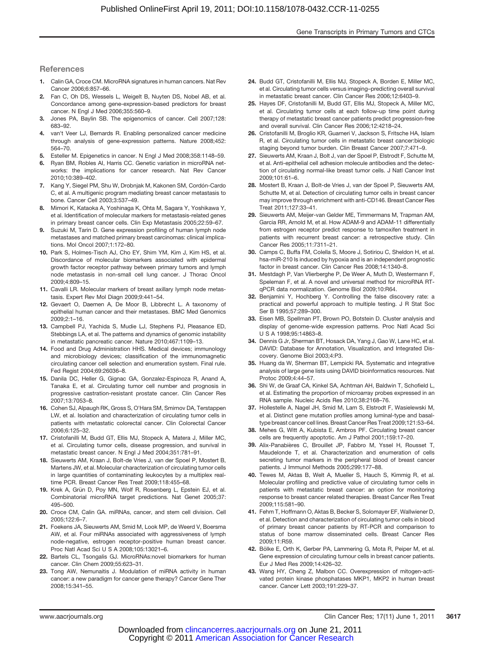#### References

- 1. Calin GA, Croce CM. MicroRNA signatures in human cancers. Nat Rev Cancer 2006;6:857–66.
- 2. Fan C, Oh DS, Wessels L, Weigelt B, Nuyten DS, Nobel AB, et al. Concordance among gene-expression-based predictors for breast cancer. N Engl J Med 2006;355:560–9.
- 3. Jones PA, Baylin SB. The epigenomics of cancer. Cell 2007;128: 683–92.
- 4. van't Veer LJ, Bernards R. Enabling personalized cancer medicine through analysis of gene-expression patterns. Nature 2008;452: 564–70.
- 5. Esteller M. Epigenetics in cancer. N Engl J Med 2008;358:1148–59.
- 6. Ryan BM, Robles AI, Harris CC. Genetic variation in microRNA networks: the implications for cancer research. Nat Rev Cancer 2010;10:389–402.
- 7. Kang Y, Siegel PM, Shu W, Drobnjak M, Kakonen SM, Cordón-Cardo C, et al. A multigenic program mediating breast cancer metastasis to bone. Cancer Cell 2003;3:537–49.
- 8. Mimori K, Kataoka A, Yoshinaga K, Ohta M, Sagara Y, Yoshikawa Y, et al. Identification of molecular markers for metastasis-related genes in primary breast cancer cells. Clin Exp Metastasis 2005;22:59–67.
- 9. Suzuki M, Tarin D. Gene expression profiling of human lymph node metastases and matched primary breast carcinomas: clinical implications. Mol Oncol 2007;1:172–80.
- 10. Park S, Holmes-Tisch AJ, Cho EY, Shim YM, Kim J, Kim HS, et al. Discordance of molecular biomarkers associated with epidermal growth factor receptor pathway between primary tumors and lymph node metastasis in non-small cell lung cancer. J Thorac Oncol 2009;4:809–15.
- 11. Cavalli LR. Molecular markers of breast axillary lymph node metastasis. Expert Rev Mol Diagn 2009;9:441–54.
- 12. Gevaert O, Daemen A, De Moor B, Libbrecht L. A taxonomy of epithelial human cancer and their metastases. BMC Med Genomics 2009;2:1–16.
- 13. Campbell PJ, Yachida S, Mudie LJ, Stephens PJ, Pleasance ED, Stebbings LA, et al. The patterns and dynamics of genomic instability in metastatic pancreatic cancer. Nature 2010;467:1109–13.
- 14. Food and Drug Administration HHS. Medical devices; immunology and microbiology devices; classification of the immunomagnetic circulating cancer cell selection and enumeration system. Final rule. Fed Regist 2004;69:26036–8.
- 15. Danila DC, Heller G, Gignac GA, Gonzalez-Espinoza R, Anand A, Tanaka E, et al. Circulating tumor cell number and prognosis in progressive castration-resistant prostate cancer. Clin Cancer Res 2007;13:7053–8.
- 16. Cohen SJ, Alpaugh RK, Gross S, O'Hara SM, Smirnov DA, Terstappen LW, et al. Isolation and characterization of circulating tumor cells in patients with metastatic colorectal cancer. Clin Colorectal Cancer 2006;6:125–32.
- 17. Cristofanilli M, Budd GT, Ellis MJ, Stopeck A, Matera J, Miller MC, et al. Circulating tumor cells, disease progression, and survival in metastatic breast cancer. N Engl J Med 2004;351:781–91.
- 18. Sieuwerts AM, Kraan J, Bolt-de Vries J, van der Spoel P, Mostert B, Martens JW, et al. Molecular characterization of circulating tumor cells in large quantities of contaminating leukocytes by a multiplex realtime PCR. Breast Cancer Res Treat 2009;118:455–68.
- 19. Krek A, Grün D, Poy MN, Wolf R, Rosenberg L, Epstein EJ, et al. Combinatorial microRNA target predictions. Nat Genet 2005;37: 495–500.
- 20. Croce CM, Calin GA. miRNAs, cancer, and stem cell division. Cell 2005;122:6–7.
- 21. Foekens JA, Sieuwerts AM, Smid M, Look MP, de Weerd V, Boersma AW, et al. Four miRNAs associated with aggressiveness of lymph node-negative, estrogen receptor-positive human breast cancer. Proc Natl Acad Sci U S A 2008;105:13021–6.
- 22. Bartels CL, Tsongalis GJ. MicroRNAs:novel biomarkers for human cancer. Clin Chem 2009;55:623–31.
- 23. Tong AW, Nemunaitis J. Modulation of miRNA activity in human cancer: a new paradigm for cancer gene therapy? Cancer Gene Ther 2008;15:341–55.
- 24. Budd GT, Cristofanilli M, Ellis MJ, Stopeck A, Borden E, Miller MC, et al. Circulating tumor cells versus imaging–predicting overall survival in metastatic breast cancer. Clin Cancer Res 2006;12:6403–9.
- 25. Hayes DF, Cristofanilli M, Budd GT, Ellis MJ, Stopeck A, Miller MC, et al. Circulating tumor cells at each follow-up time point during therapy of metastatic breast cancer patients predict progression-free and overall survival. Clin Cancer Res 2006;12:4218–24.
- 26. Cristofanilli M, Broglio KR, Guarneri V, Jackson S, Fritsche HA, Islam R, et al. Circulating tumor cells in metastatic breast cancer:biologic staging beyond tumor burden. Clin Breast Cancer 2007;7:471–9.
- 27. Sieuwerts AM, Kraan J, Bolt J, van der Spoel P, Elstrodt F, Schutte M, et al. Anti-epithelial cell adhesion molecule antibodies and the detection of circulating normal-like breast tumor cells. J Natl Cancer Inst 2009;101:61–6.
- 28. Mostert B, Kraan J, Bolt-de Vries J, van der Spoel P, Sieuwerts AM, Schutte M, et al. Detection of circulating tumor cells in breast cancer may improve through enrichment with anti-CD146. Breast Cancer Res Treat 2011;127:33–41.
- 29. Sieuwerts AM, Meijer-van Gelder ME, Timmermans M, Trapman AM, Garcia RR, Arnold M, et al. How ADAM-9 and ADAM-11 differentially from estrogen receptor predict response to tamoxifen treatment in patients with recurrent breast cancer: a retrospective study. Clin Cancer Res 2005;11:7311–21.
- 30. Camps C, Buffa FM, Colella S, Moore J, Sotiriou C, Sheldon H, et al. hsa-miR-210 Is induced by hypoxia and is an independent prognostic factor in breast cancer. Clin Cancer Res 2008;14:1340–8.
- 31. Mestdagh P, Van Vlierberghe P, De Weer A, Muth D, Westermann F, Speleman F, et al. A novel and universal method for microRNA RTqPCR data normalization. Genome Biol 2009;10:R64.
- 32. Benjamini Y, Hochberg Y. Controlling the false discovery rate: a practical and powerful approach to multiple testing. J R Stat Soc Ser B 1995;57:289–300.
- 33. Eisen MB, Spellman PT, Brown PO, Botstein D. Cluster analysis and display of genome-wide expression patterns. Proc Natl Acad Sci U S A 1998;95:14863–8.
- 34. Dennis G Jr, Sherman BT, Hosack DA, Yang J, Gao W, Lane HC, et al. DAVID: Database for Annotation, Visualization, and Integrated Discovery. Genome Biol 2003;4:P3.
- 35. Huang da W, Sherman BT, Lempicki RA. Systematic and integrative analysis of large gene lists using DAVID bioinformatics resources. Nat Protoc 2009;4:44–57.
- 36. Shi W, de Graaf CA, Kinkel SA, Achtman AH, Baldwin T, Schofield L, et al. Estimating the proportion of microarray probes expressed in an RNA sample. Nucleic Acids Res 2010;38:2168–76.
- 37. Hollestelle A, Nagel JH, Smid M, Lam S, Elstrodt F, Wasielewski M, et al. Distinct gene mutation profiles among luminal-type and basaltype breast cancer cell lines. Breast Cancer Res Treat 2009;121:53–64.
- 38. Mehes G, Witt A, Kubista E, Ambros PF. Circulating breast cancer cells are frequently apoptotic. Am J Pathol 2001;159:17–20.
- 39. Alix-Panabières C, Brouillet JP, Fabbro M, Yssel H, Rousset T, Maudelonde T, et al. Characterization and enumeration of cells secreting tumor markers in the peripheral blood of breast cancer patients. J Immunol Methods 2005;299:177–88.
- 40. Tewes M, Aktas B, Welt A, Mueller S, Hauch S, Kimmig R, et al. Molecular profiling and predictive value of circulating tumor cells in patients with metastatic breast cancer: an option for monitoring response to breast cancer related therapies. Breast Cancer Res Treat 2009;115:581–90.
- 41. Fehm T, Hoffmann O, Aktas B, Becker S, Solomayer EF, Wallwiener D, et al. Detection and characterization of circulating tumor cells in blood of primary breast cancer patients by RT-PCR and comparison to status of bone marrow disseminated cells. Breast Cancer Res 2009;11:R59.
- 42. Bölke E, Orth K, Gerber PA, Lammering G, Mota R, Peiper M, et al. Gene expression of circulating tumour cells in breast cancer patients. Eur J Med Res 2009;14:426–32.
- 43. Wang HY, Cheng Z, Malbon CC. Overexpression of mitogen-activated protein kinase phosphatases MKP1, MKP2 in human breast cancer. Cancer Lett 2003;191:229–37.